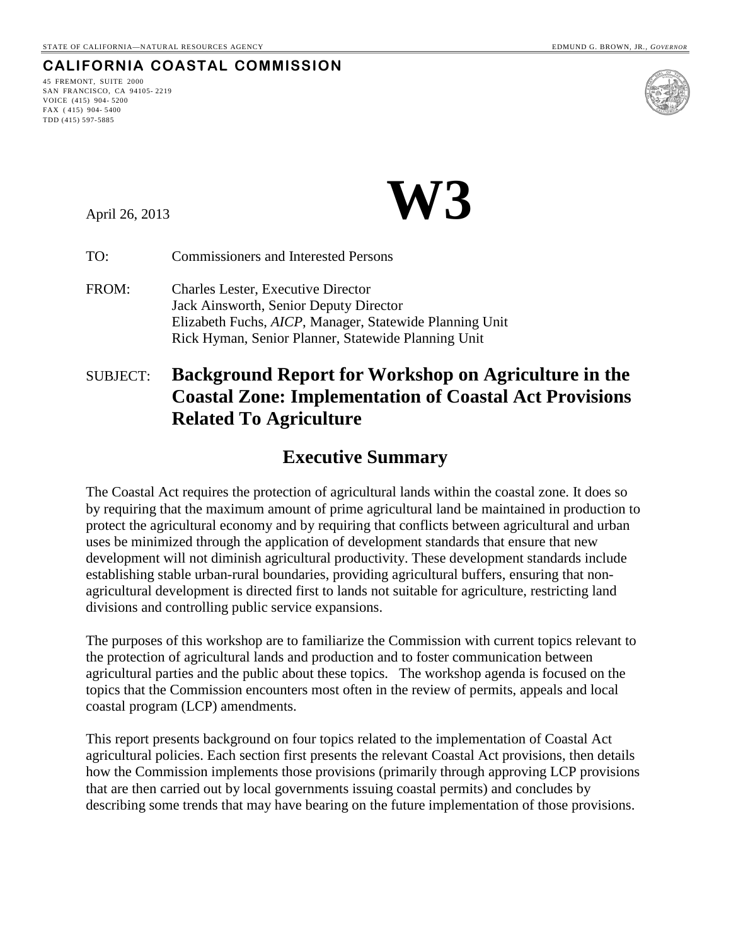## **CALIFORNIA COASTAL COMMISSION**

45 FREMONT, SUITE 2000 SAN FRANCISCO, CA 94105- 2219 VOICE (415) 904- 5200 FAX ( 415) 904- 5400 TDD (415) 597-5885



April 26, 2013 **W3** 

TO: Commissioners and Interested Persons

FROM: Charles Lester, Executive Director Jack Ainsworth, Senior Deputy Director Elizabeth Fuchs, *AICP*, Manager, Statewide Planning Unit Rick Hyman, Senior Planner, Statewide Planning Unit

## SUBJECT: **Background Report for Workshop on Agriculture in the Coastal Zone: Implementation of Coastal Act Provisions Related To Agriculture**

## **Executive Summary**

The Coastal Act requires the protection of agricultural lands within the coastal zone. It does so by requiring that the maximum amount of prime agricultural land be maintained in production to protect the agricultural economy and by requiring that conflicts between agricultural and urban uses be minimized through the application of development standards that ensure that new development will not diminish agricultural productivity. These development standards include establishing stable urban-rural boundaries, providing agricultural buffers, ensuring that nonagricultural development is directed first to lands not suitable for agriculture, restricting land divisions and controlling public service expansions.

The purposes of this workshop are to familiarize the Commission with current topics relevant to the protection of agricultural lands and production and to foster communication between agricultural parties and the public about these topics. The workshop agenda is focused on the topics that the Commission encounters most often in the review of permits, appeals and local coastal program (LCP) amendments.

This report presents background on four topics related to the implementation of Coastal Act agricultural policies. Each section first presents the relevant Coastal Act provisions, then details how the Commission implements those provisions (primarily through approving LCP provisions that are then carried out by local governments issuing coastal permits) and concludes by describing some trends that may have bearing on the future implementation of those provisions.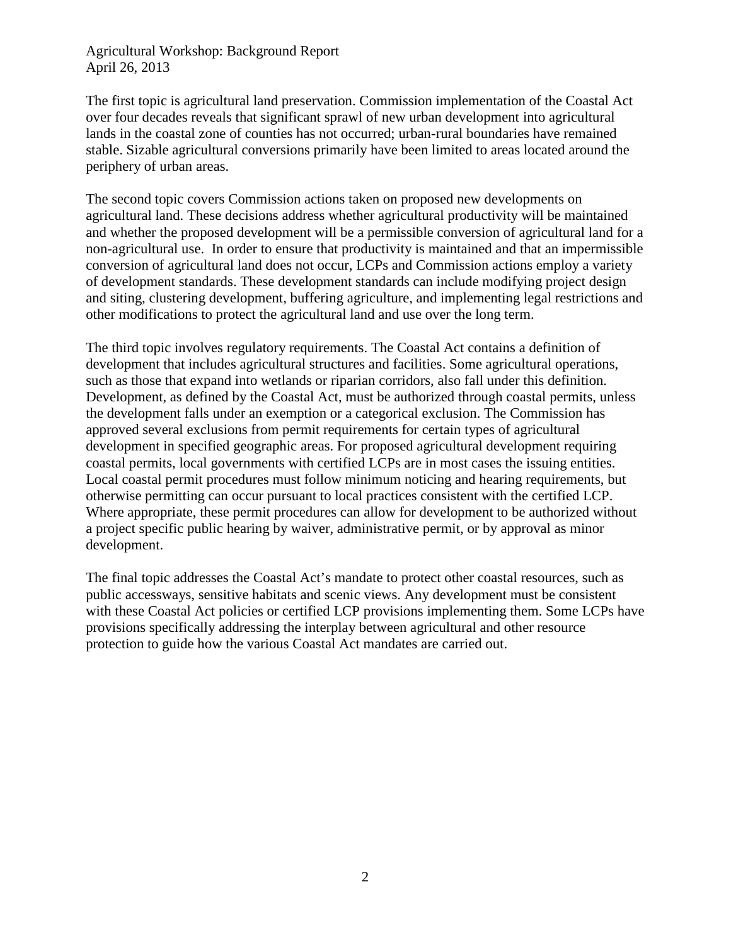The first topic is agricultural land preservation. Commission implementation of the Coastal Act over four decades reveals that significant sprawl of new urban development into agricultural lands in the coastal zone of counties has not occurred; urban-rural boundaries have remained stable. Sizable agricultural conversions primarily have been limited to areas located around the periphery of urban areas.

The second topic covers Commission actions taken on proposed new developments on agricultural land. These decisions address whether agricultural productivity will be maintained and whether the proposed development will be a permissible conversion of agricultural land for a non-agricultural use. In order to ensure that productivity is maintained and that an impermissible conversion of agricultural land does not occur, LCPs and Commission actions employ a variety of development standards. These development standards can include modifying project design and siting, clustering development, buffering agriculture, and implementing legal restrictions and other modifications to protect the agricultural land and use over the long term.

The third topic involves regulatory requirements. The Coastal Act contains a definition of development that includes agricultural structures and facilities. Some agricultural operations, such as those that expand into wetlands or riparian corridors, also fall under this definition. Development, as defined by the Coastal Act, must be authorized through coastal permits, unless the development falls under an exemption or a categorical exclusion. The Commission has approved several exclusions from permit requirements for certain types of agricultural development in specified geographic areas. For proposed agricultural development requiring coastal permits, local governments with certified LCPs are in most cases the issuing entities. Local coastal permit procedures must follow minimum noticing and hearing requirements, but otherwise permitting can occur pursuant to local practices consistent with the certified LCP. Where appropriate, these permit procedures can allow for development to be authorized without a project specific public hearing by waiver, administrative permit, or by approval as minor development.

The final topic addresses the Coastal Act's mandate to protect other coastal resources, such as public accessways, sensitive habitats and scenic views. Any development must be consistent with these Coastal Act policies or certified LCP provisions implementing them. Some LCPs have provisions specifically addressing the interplay between agricultural and other resource protection to guide how the various Coastal Act mandates are carried out.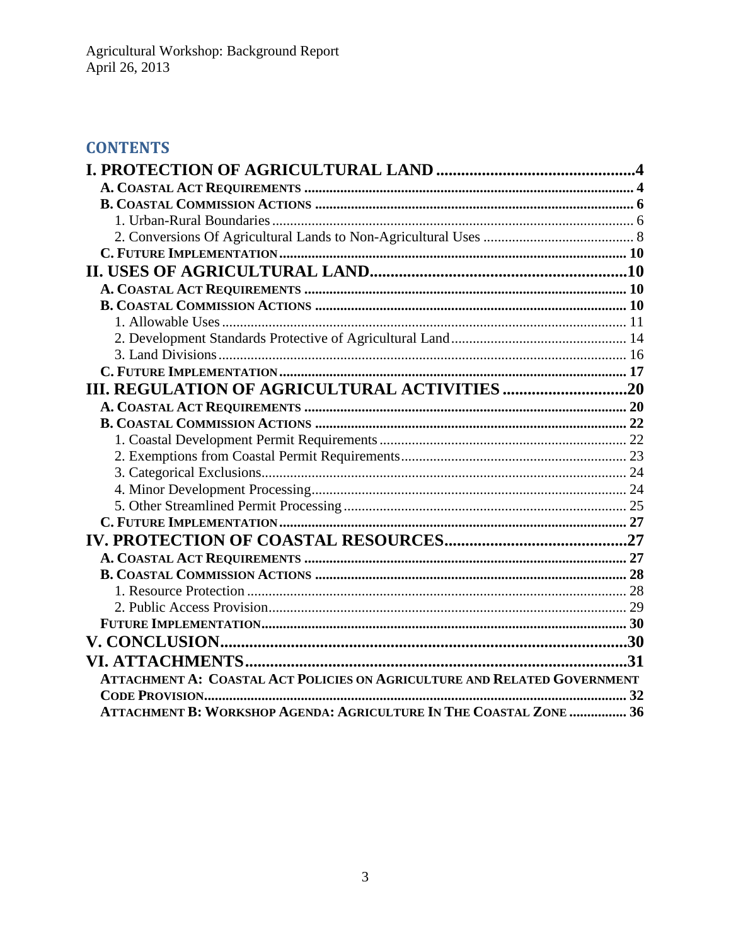# **CONTENTS**

|                                                                          | .31 |
|--------------------------------------------------------------------------|-----|
| ATTACHMENT A: COASTAL ACT POLICIES ON AGRICULTURE AND RELATED GOVERNMENT |     |
|                                                                          |     |
| ATTACHMENT B: WORKSHOP AGENDA: AGRICULTURE IN THE COASTAL ZONE  36       |     |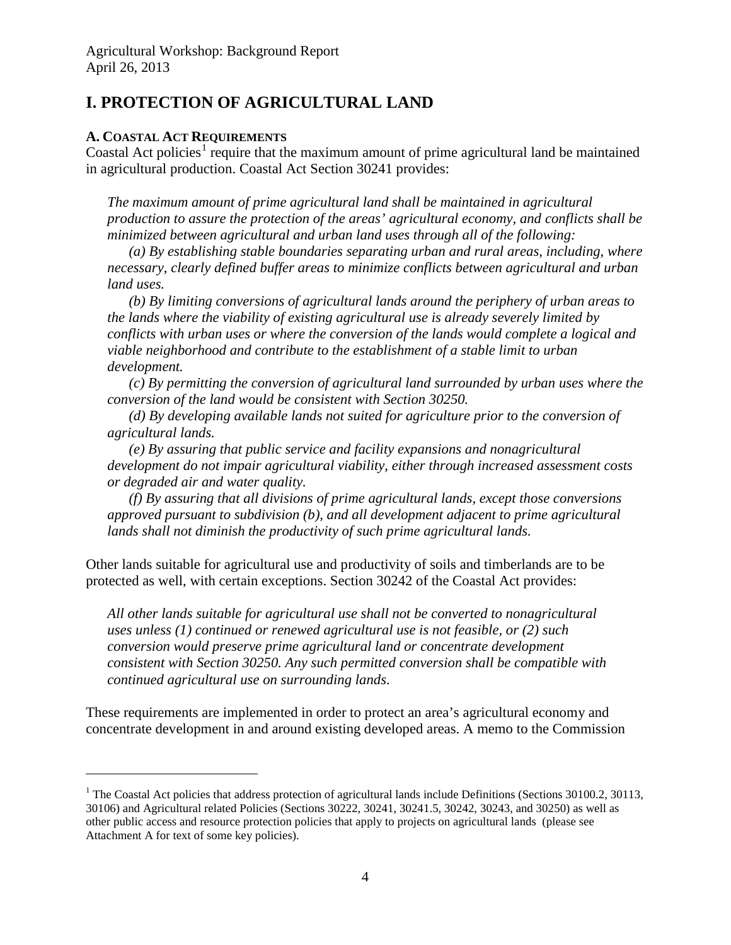## <span id="page-3-0"></span>**I. PROTECTION OF AGRICULTURAL LAND**

## <span id="page-3-1"></span>**A. COASTAL ACT REQUIREMENTS**

 $\overline{a}$ 

Coastal Act policies<sup>[1](#page-3-2)</sup> require that the maximum amount of prime agricultural land be maintained in agricultural production. Coastal Act Section 30241 provides:

*The maximum amount of prime agricultural land shall be maintained in agricultural production to assure the protection of the areas' agricultural economy, and conflicts shall be minimized between agricultural and urban land uses through all of the following:*

*(a) By establishing stable boundaries separating urban and rural areas, including, where necessary, clearly defined buffer areas to minimize conflicts between agricultural and urban land uses.*

*(b) By limiting conversions of agricultural lands around the periphery of urban areas to the lands where the viability of existing agricultural use is already severely limited by conflicts with urban uses or where the conversion of the lands would complete a logical and viable neighborhood and contribute to the establishment of a stable limit to urban development.*

*(c) By permitting the conversion of agricultural land surrounded by urban uses where the conversion of the land would be consistent with Section 30250.*

*(d) By developing available lands not suited for agriculture prior to the conversion of agricultural lands.*

*(e) By assuring that public service and facility expansions and nonagricultural development do not impair agricultural viability, either through increased assessment costs or degraded air and water quality.*

*(f) By assuring that all divisions of prime agricultural lands, except those conversions approved pursuant to subdivision (b), and all development adjacent to prime agricultural lands shall not diminish the productivity of such prime agricultural lands.*

Other lands suitable for agricultural use and productivity of soils and timberlands are to be protected as well, with certain exceptions. Section 30242 of the Coastal Act provides:

*All other lands suitable for agricultural use shall not be converted to nonagricultural uses unless (1) continued or renewed agricultural use is not feasible, or (2) such conversion would preserve prime agricultural land or concentrate development consistent with Section 30250. Any such permitted conversion shall be compatible with continued agricultural use on surrounding lands*.

These requirements are implemented in order to protect an area's agricultural economy and concentrate development in and around existing developed areas. A memo to the Commission

<span id="page-3-2"></span> $1$  The Coastal Act policies that address protection of agricultural lands include Definitions (Sections 30100.2, 30113, 30106) and Agricultural related Policies (Sections 30222, 30241, 30241.5, 30242, 30243, and 30250) as well as other public access and resource protection policies that apply to projects on agricultural lands (please see Attachment A for text of some key policies).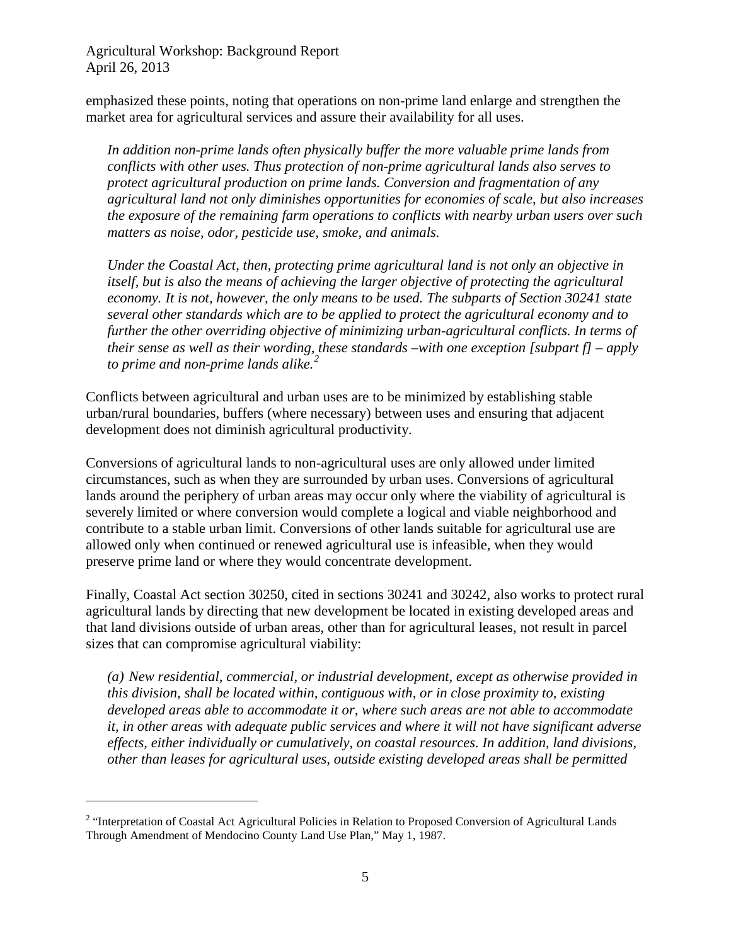emphasized these points, noting that operations on non-prime land enlarge and strengthen the market area for agricultural services and assure their availability for all uses.

*In addition non-prime lands often physically buffer the more valuable prime lands from conflicts with other uses. Thus protection of non-prime agricultural lands also serves to protect agricultural production on prime lands. Conversion and fragmentation of any agricultural land not only diminishes opportunities for economies of scale, but also increases the exposure of the remaining farm operations to conflicts with nearby urban users over such matters as noise, odor, pesticide use, smoke, and animals.*

*Under the Coastal Act, then, protecting prime agricultural land is not only an objective in itself, but is also the means of achieving the larger objective of protecting the agricultural economy. It is not, however, the only means to be used. The subparts of Section 30241 state several other standards which are to be applied to protect the agricultural economy and to further the other overriding objective of minimizing urban-agricultural conflicts. In terms of their sense as well as their wording, these standards –with one exception [subpart f] – apply to prime and non-prime lands alike. [2](#page-4-0)*

Conflicts between agricultural and urban uses are to be minimized by establishing stable urban/rural boundaries, buffers (where necessary) between uses and ensuring that adjacent development does not diminish agricultural productivity.

Conversions of agricultural lands to non-agricultural uses are only allowed under limited circumstances, such as when they are surrounded by urban uses. Conversions of agricultural lands around the periphery of urban areas may occur only where the viability of agricultural is severely limited or where conversion would complete a logical and viable neighborhood and contribute to a stable urban limit. Conversions of other lands suitable for agricultural use are allowed only when continued or renewed agricultural use is infeasible, when they would preserve prime land or where they would concentrate development.

Finally, Coastal Act section 30250, cited in sections 30241 and 30242, also works to protect rural agricultural lands by directing that new development be located in existing developed areas and that land divisions outside of urban areas, other than for agricultural leases, not result in parcel sizes that can compromise agricultural viability:

*(a) New residential, commercial, or industrial development, except as otherwise provided in this division, shall be located within, contiguous with, or in close proximity to, existing developed areas able to accommodate it or, where such areas are not able to accommodate it, in other areas with adequate public services and where it will not have significant adverse effects, either individually or cumulatively, on coastal resources. In addition, land divisions, other than leases for agricultural uses, outside existing developed areas shall be permitted* 

<span id="page-4-0"></span><sup>&</sup>lt;sup>2</sup> "Interpretation of Coastal Act Agricultural Policies in Relation to Proposed Conversion of Agricultural Lands Through Amendment of Mendocino County Land Use Plan," May 1, 1987.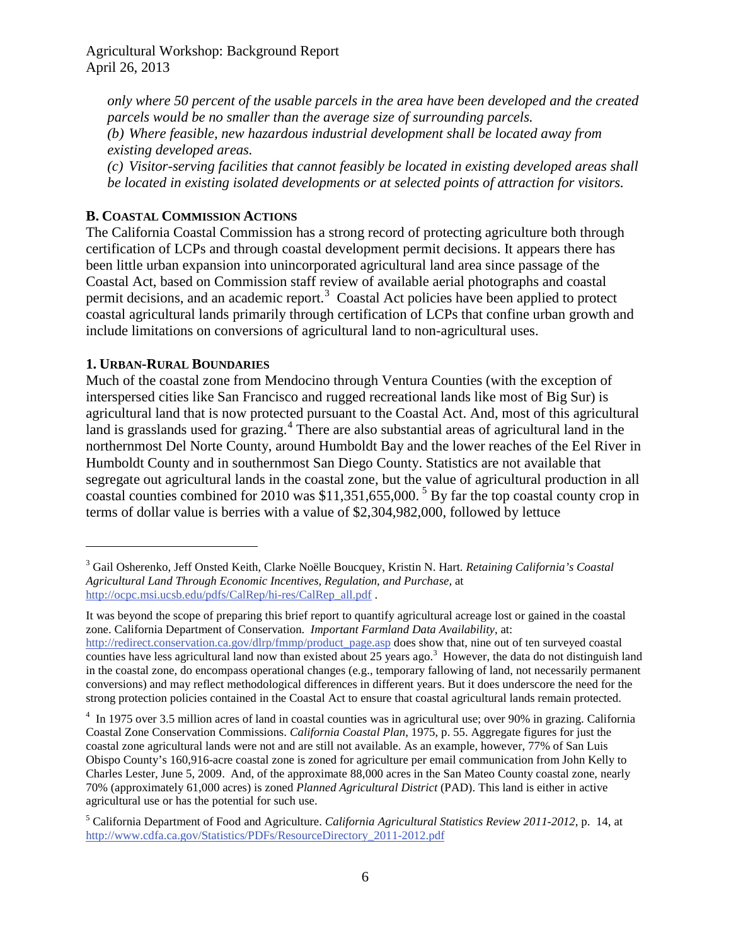*only where 50 percent of the usable parcels in the area have been developed and the created parcels would be no smaller than the average size of surrounding parcels. (b) Where feasible, new hazardous industrial development shall be located away from existing developed areas.*

*(c) Visitor-serving facilities that cannot feasibly be located in existing developed areas shall be located in existing isolated developments or at selected points of attraction for visitors.*

## <span id="page-5-0"></span>**B. COASTAL COMMISSION ACTIONS**

The California Coastal Commission has a strong record of protecting agriculture both through certification of LCPs and through coastal development permit decisions. It appears there has been little urban expansion into unincorporated agricultural land area since passage of the Coastal Act, based on Commission staff review of available aerial photographs and coastal permit decisions, and an academic report.<sup>[3](#page-5-2)</sup> Coastal Act policies have been applied to protect coastal agricultural lands primarily through certification of LCPs that confine urban growth and include limitations on conversions of agricultural land to non-agricultural uses.

## <span id="page-5-1"></span>**1. URBAN-RURAL BOUNDARIES**

 $\overline{a}$ 

Much of the coastal zone from Mendocino through Ventura Counties (with the exception of interspersed cities like San Francisco and rugged recreational lands like most of Big Sur) is agricultural land that is now protected pursuant to the Coastal Act. And, most of this agricultural land is grasslands used for grazing.<sup>[4](#page-5-3)</sup> There are also substantial areas of agricultural land in the northernmost Del Norte County, around Humboldt Bay and the lower reaches of the Eel River in Humboldt County and in southernmost San Diego County. Statistics are not available that segregate out agricultural lands in the coastal zone, but the value of agricultural production in all coastal counties combined for 2010 was \$11,351,655,000. [5](#page-5-4) By far the top coastal county crop in terms of dollar value is berries with a value of \$2,304,982,000, followed by lettuce

<span id="page-5-2"></span><sup>3</sup> Gail Osherenko, Jeff Onsted Keith, Clarke Noëlle Boucquey, Kristin N. Hart. *Retaining California's Coastal Agricultural Land Through Economic Incentives, Regulation, and Purchase,* at [http://ocpc.msi.ucsb.edu/pdfs/CalRep/hi-res/CalRep\\_all.pdf](http://ocpc.msi.ucsb.edu/pdfs/CalRep/hi-res/CalRep_all.pdf) .

It was beyond the scope of preparing this brief report to quantify agricultural acreage lost or gained in the coastal zone. California Department of Conservation. *Important Farmland Data Availability*, at: [http://redirect.conservation.ca.gov/dlrp/fmmp/product\\_page.asp](http://redirect.conservation.ca.gov/dlrp/fmmp/product_page.asp) does show that, nine out of ten surveyed coastal counties have less agricultural land now than existed about 25 years ago.<sup>3</sup> However, the data do not distinguish land in the coastal zone, do encompass operational changes (e.g., temporary fallowing of land, not necessarily permanent conversions) and may reflect methodological differences in different years. But it does underscore the need for the strong protection policies contained in the Coastal Act to ensure that coastal agricultural lands remain protected.

<span id="page-5-3"></span><sup>&</sup>lt;sup>4</sup> In 1975 over 3.5 million acres of land in coastal counties was in agricultural use; over 90% in grazing. California Coastal Zone Conservation Commissions. *California Coastal Plan*, 1975, p. 55. Aggregate figures for just the coastal zone agricultural lands were not and are still not available. As an example, however, 77% of San Luis Obispo County's 160,916-acre coastal zone is zoned for agriculture per email communication from John Kelly to Charles Lester, June 5, 2009. And, of the approximate 88,000 acres in the San Mateo County coastal zone, nearly 70% (approximately 61,000 acres) is zoned *Planned Agricultural District* (PAD). This land is either in active agricultural use or has the potential for such use.

<span id="page-5-4"></span><sup>5</sup> California Department of Food and Agriculture. *California Agricultural Statistics Review 2011-2012*, p. 14, at [http://www.cdfa.ca.gov/Statistics/PDFs/ResourceDirectory\\_2011-2012.pdf](http://www.cdfa.ca.gov/Statistics/PDFs/ResourceDirectory_2011-2012.pdf)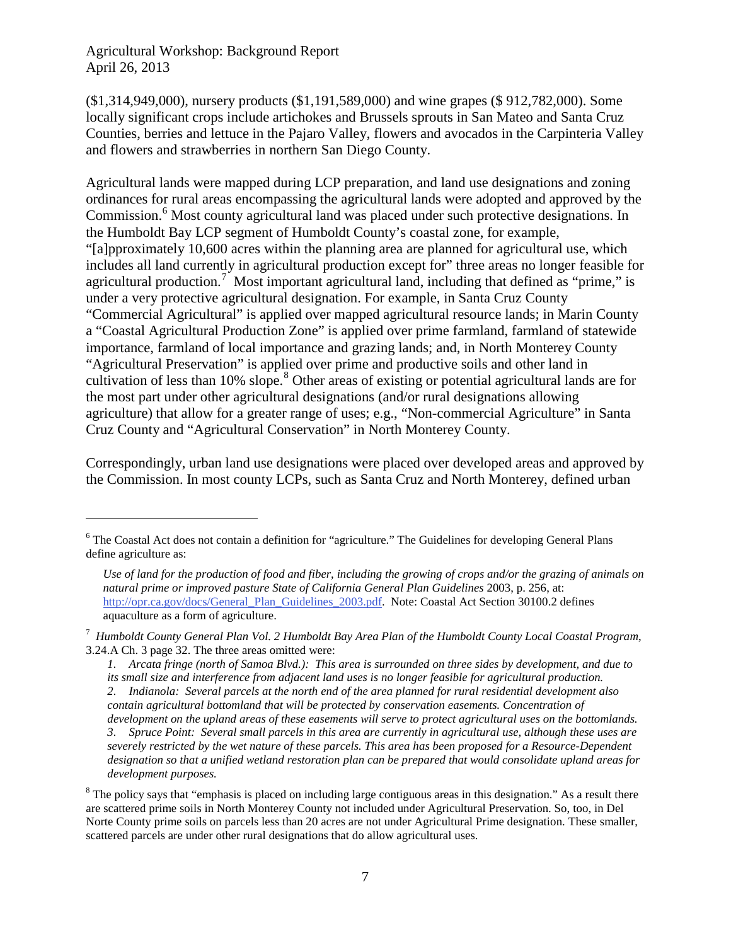$\overline{a}$ 

(\$1,314,949,000), nursery products (\$1,191,589,000) and wine grapes (\$ 912,782,000). Some locally significant crops include artichokes and Brussels sprouts in San Mateo and Santa Cruz Counties, berries and lettuce in the Pajaro Valley, flowers and avocados in the Carpinteria Valley and flowers and strawberries in northern San Diego County.

Agricultural lands were mapped during LCP preparation, and land use designations and zoning ordinances for rural areas encompassing the agricultural lands were adopted and approved by the Commission.<sup>[6](#page-6-0)</sup> Most county agricultural land was placed under such protective designations. In the Humboldt Bay LCP segment of Humboldt County's coastal zone, for example, "[a]pproximately 10,600 acres within the planning area are planned for agricultural use, which includes all land currently in agricultural production except for" three areas no longer feasible for agricultural production.<sup>[7](#page-6-1)</sup> Most important agricultural land, including that defined as "prime," is under a very protective agricultural designation. For example, in Santa Cruz County "Commercial Agricultural" is applied over mapped agricultural resource lands; in Marin County a "Coastal Agricultural Production Zone" is applied over prime farmland, farmland of statewide importance, farmland of local importance and grazing lands; and, in North Monterey County "Agricultural Preservation" is applied over prime and productive soils and other land in cultivation of less than 10% slope.<sup>[8](#page-6-2)</sup> Other areas of existing or potential agricultural lands are for the most part under other agricultural designations (and/or rural designations allowing agriculture) that allow for a greater range of uses; e.g., "Non-commercial Agriculture" in Santa Cruz County and "Agricultural Conservation" in North Monterey County.

Correspondingly, urban land use designations were placed over developed areas and approved by the Commission. In most county LCPs, such as Santa Cruz and North Monterey, defined urban

<span id="page-6-0"></span><sup>&</sup>lt;sup>6</sup> The Coastal Act does not contain a definition for "agriculture." The Guidelines for developing General Plans define agriculture as:

*Use of land for the production of food and fiber, including the growing of crops and/or the grazing of animals on natural prime or improved pasture State of California General Plan Guidelines* 2003, p. 256, at: [http://opr.ca.gov/docs/General\\_Plan\\_Guidelines\\_2003.pdf.](http://opr.ca.gov/docs/General_Plan_Guidelines_2003.pdf) Note: Coastal Act Section 30100.2 defines aquaculture as a form of agriculture.

<span id="page-6-1"></span><sup>7</sup> *Humboldt County General Plan Vol. 2 Humboldt Bay Area Plan of the Humboldt County Local Coastal Program*, 3.24.A Ch. 3 page 32. The three areas omitted were:

*<sup>1.</sup> Arcata fringe (north of Samoa Blvd.): This area is surrounded on three sides by development, and due to its small size and interference from adjacent land uses is no longer feasible for agricultural production. 2. Indianola: Several parcels at the north end of the area planned for rural residential development also contain agricultural bottomland that will be protected by conservation easements. Concentration of development on the upland areas of these easements will serve to protect agricultural uses on the bottomlands. 3. Spruce Point: Several small parcels in this area are currently in agricultural use, although these uses are severely restricted by the wet nature of these parcels. This area has been proposed for a Resource-Dependent designation so that a unified wetland restoration plan can be prepared that would consolidate upland areas for development purposes.*

<span id="page-6-2"></span> $8$  The policy says that "emphasis is placed on including large contiguous areas in this designation." As a result there are scattered prime soils in North Monterey County not included under Agricultural Preservation. So, too, in Del Norte County prime soils on parcels less than 20 acres are not under Agricultural Prime designation. These smaller, scattered parcels are under other rural designations that do allow agricultural uses.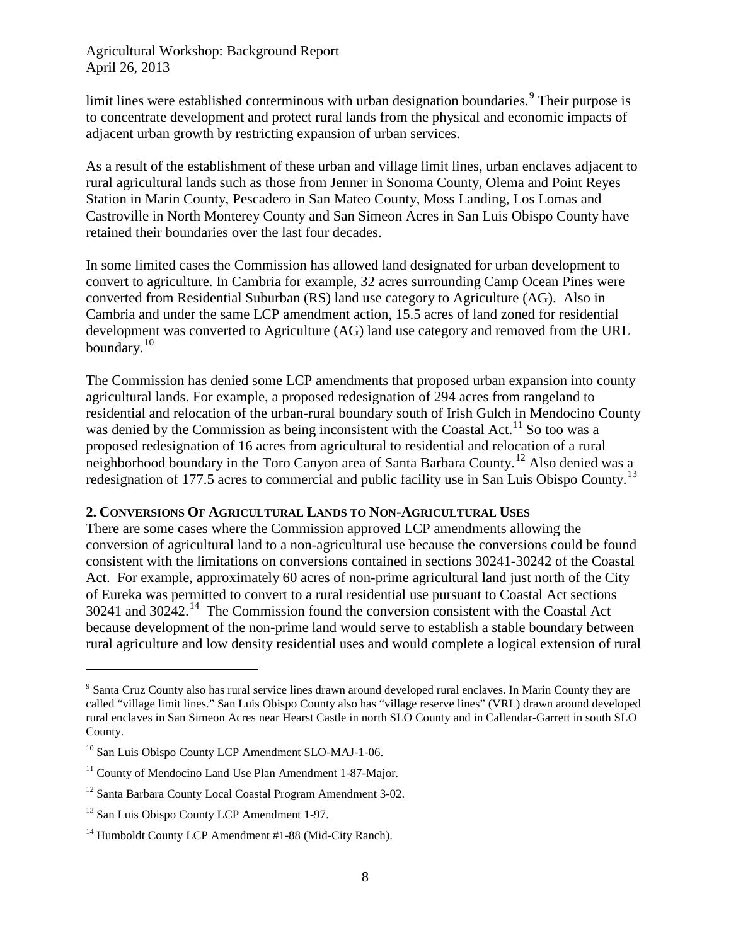limit lines were established conterminous with urban designation boundaries.<sup>[9](#page-7-1)</sup> Their purpose is to concentrate development and protect rural lands from the physical and economic impacts of adjacent urban growth by restricting expansion of urban services.

As a result of the establishment of these urban and village limit lines, urban enclaves adjacent to rural agricultural lands such as those from Jenner in Sonoma County, Olema and Point Reyes Station in Marin County, Pescadero in San Mateo County, Moss Landing, Los Lomas and Castroville in North Monterey County and San Simeon Acres in San Luis Obispo County have retained their boundaries over the last four decades.

In some limited cases the Commission has allowed land designated for urban development to convert to agriculture. In Cambria for example, 32 acres surrounding Camp Ocean Pines were converted from Residential Suburban (RS) land use category to Agriculture (AG). Also in Cambria and under the same LCP amendment action, 15.5 acres of land zoned for residential development was converted to Agriculture (AG) land use category and removed from the URL boundary.<sup>[10](#page-7-2)</sup>

The Commission has denied some LCP amendments that proposed urban expansion into county agricultural lands. For example, a proposed redesignation of 294 acres from rangeland to residential and relocation of the urban-rural boundary south of Irish Gulch in Mendocino County was denied by the Commission as being inconsistent with the Coastal Act.<sup>[11](#page-7-3)</sup> So too was a proposed redesignation of 16 acres from agricultural to residential and relocation of a rural neighborhood boundary in the Toro Canyon area of Santa Barbara County.<sup>[12](#page-7-4)</sup> Also denied was a redesignation of 177.5 acres to commercial and public facility use in San Luis Obispo County.[13](#page-7-5)

#### <span id="page-7-0"></span>**2. CONVERSIONS OF AGRICULTURAL LANDS TO NON-AGRICULTURAL USES**

There are some cases where the Commission approved LCP amendments allowing the conversion of agricultural land to a non-agricultural use because the conversions could be found consistent with the limitations on conversions contained in sections 30241-30242 of the Coastal Act. For example, approximately 60 acres of non-prime agricultural land just north of the City of Eureka was permitted to convert to a rural residential use pursuant to Coastal Act sections  $30241$  and  $30242$ .<sup>[14](#page-7-6)</sup> The Commission found the conversion consistent with the Coastal Act because development of the non-prime land would serve to establish a stable boundary between rural agriculture and low density residential uses and would complete a logical extension of rural

<span id="page-7-1"></span><sup>&</sup>lt;sup>9</sup> Santa Cruz County also has rural service lines drawn around developed rural enclaves. In Marin County they are called "village limit lines." San Luis Obispo County also has "village reserve lines" (VRL) drawn around developed rural enclaves in San Simeon Acres near Hearst Castle in north SLO County and in Callendar-Garrett in south SLO County.

<span id="page-7-2"></span><sup>&</sup>lt;sup>10</sup> San Luis Obispo County LCP Amendment SLO-MAJ-1-06.

<span id="page-7-3"></span> $11$  County of Mendocino Land Use Plan Amendment 1-87-Major.

<span id="page-7-4"></span><sup>&</sup>lt;sup>12</sup> Santa Barbara County Local Coastal Program Amendment 3-02.

<span id="page-7-5"></span><sup>&</sup>lt;sup>13</sup> San Luis Obispo County LCP Amendment 1-97.

<span id="page-7-6"></span><sup>&</sup>lt;sup>14</sup> Humboldt County LCP Amendment #1-88 (Mid-City Ranch).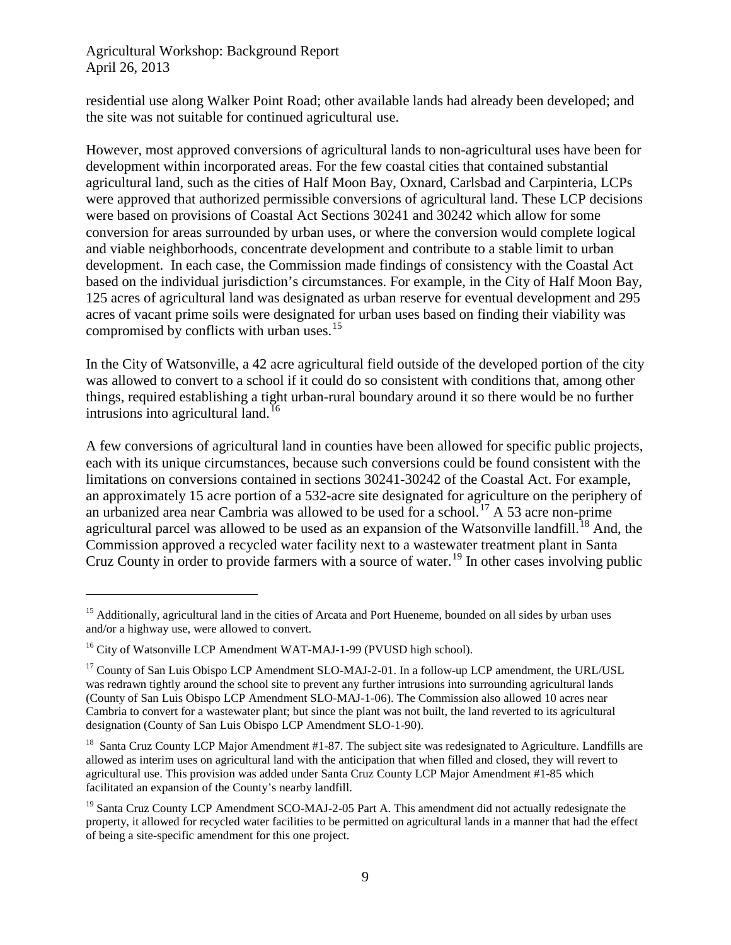residential use along Walker Point Road; other available lands had already been developed; and the site was not suitable for continued agricultural use.

However, most approved conversions of agricultural lands to non-agricultural uses have been for development within incorporated areas. For the few coastal cities that contained substantial agricultural land, such as the cities of Half Moon Bay, Oxnard, Carlsbad and Carpinteria, LCPs were approved that authorized permissible conversions of agricultural land. These LCP decisions were based on provisions of Coastal Act Sections 30241 and 30242 which allow for some conversion for areas surrounded by urban uses, or where the conversion would complete logical and viable neighborhoods, concentrate development and contribute to a stable limit to urban development. In each case, the Commission made findings of consistency with the Coastal Act based on the individual jurisdiction's circumstances. For example, in the City of Half Moon Bay, 125 acres of agricultural land was designated as urban reserve for eventual development and 295 acres of vacant prime soils were designated for urban uses based on finding their viability was compromised by conflicts with urban uses.<sup>[15](#page-8-0)</sup>

In the City of Watsonville, a 42 acre agricultural field outside of the developed portion of the city was allowed to convert to a school if it could do so consistent with conditions that, among other things, required establishing a tight urban-rural boundary around it so there would be no further intrusions into agricultural land.<sup>[16](#page-8-1)</sup>

A few conversions of agricultural land in counties have been allowed for specific public projects, each with its unique circumstances, because such conversions could be found consistent with the limitations on conversions contained in sections 30241-30242 of the Coastal Act. For example, an approximately 15 acre portion of a 532-acre site designated for agriculture on the periphery of an urbanized area near Cambria was allowed to be used for a school.<sup>[17](#page-8-2)</sup> A 53 acre non-prime agricultural parcel was allowed to be used as an expansion of the Watsonville landfill.<sup>[18](#page-8-3)</sup> And, the Commission approved a recycled water facility next to a wastewater treatment plant in Santa Cruz County in order to provide farmers with a source of water.<sup>[19](#page-8-4)</sup> In other cases involving public

<span id="page-8-0"></span><sup>&</sup>lt;sup>15</sup> Additionally, agricultural land in the cities of Arcata and Port Hueneme, bounded on all sides by urban uses and/or a highway use, were allowed to convert.

<span id="page-8-1"></span><sup>&</sup>lt;sup>16</sup> City of Watsonville LCP Amendment WAT-MAJ-1-99 (PVUSD high school).

<span id="page-8-2"></span><sup>&</sup>lt;sup>17</sup> County of San Luis Obispo LCP Amendment SLO-MAJ-2-01. In a follow-up LCP amendment, the URL/USL was redrawn tightly around the school site to prevent any further intrusions into surrounding agricultural lands (County of San Luis Obispo LCP Amendment SLO-MAJ-1-06). The Commission also allowed 10 acres near Cambria to convert for a wastewater plant; but since the plant was not built, the land reverted to its agricultural designation (County of San Luis Obispo LCP Amendment SLO-1-90).

<span id="page-8-3"></span> $18$  Santa Cruz County LCP Major Amendment #1-87. The subject site was redesignated to Agriculture. Landfills are allowed as interim uses on agricultural land with the anticipation that when filled and closed, they will revert to agricultural use. This provision was added under Santa Cruz County LCP Major Amendment #1-85 which facilitated an expansion of the County's nearby landfill.

<span id="page-8-4"></span><sup>&</sup>lt;sup>19</sup> Santa Cruz County LCP Amendment SCO-MAJ-2-05 Part A. This amendment did not actually redesignate the property, it allowed for recycled water facilities to be permitted on agricultural lands in a manner that had the effect of being a site-specific amendment for this one project.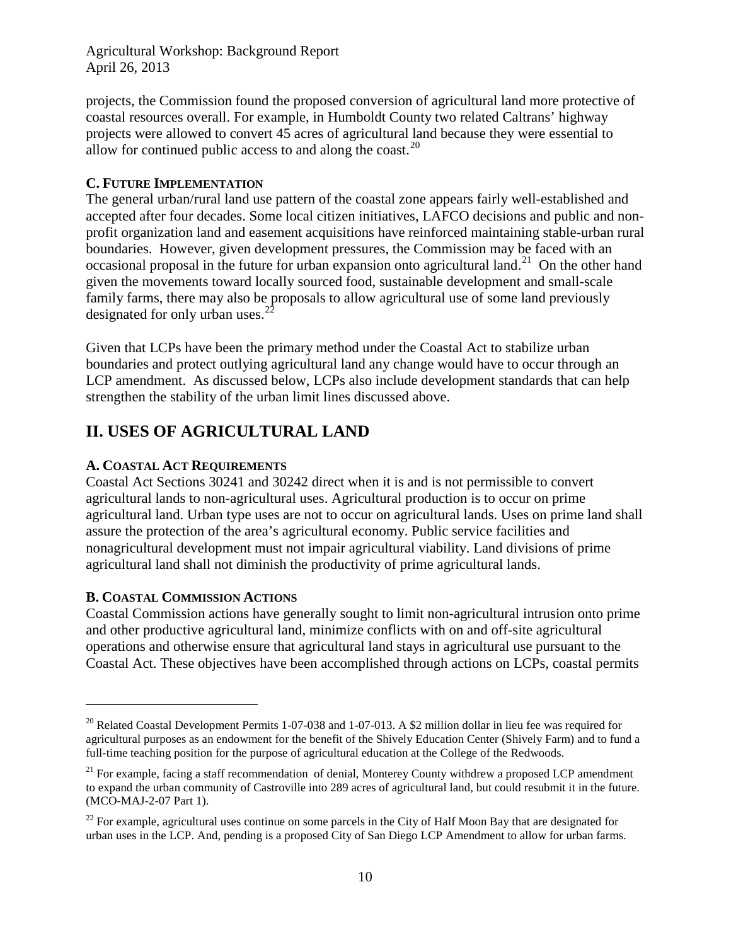projects, the Commission found the proposed conversion of agricultural land more protective of coastal resources overall. For example, in Humboldt County two related Caltrans' highway projects were allowed to convert 45 acres of agricultural land because they were essential to allow for continued public access to and along the coast.<sup>[20](#page-9-4)</sup>

### <span id="page-9-0"></span>**C. FUTURE IMPLEMENTATION**

The general urban/rural land use pattern of the coastal zone appears fairly well-established and accepted after four decades. Some local citizen initiatives, LAFCO decisions and public and nonprofit organization land and easement acquisitions have reinforced maintaining stable-urban rural boundaries. However, given development pressures, the Commission may be faced with an occasional proposal in the future for urban expansion onto agricultural land.<sup>21</sup> On the other hand given the movements toward locally sourced food, sustainable development and small-scale family farms, there may also be proposals to allow agricultural use of some land previously designated for only urban uses.<sup>2</sup>

Given that LCPs have been the primary method under the Coastal Act to stabilize urban boundaries and protect outlying agricultural land any change would have to occur through an LCP amendment. As discussed below, LCPs also include development standards that can help strengthen the stability of the urban limit lines discussed above.

## <span id="page-9-1"></span>**II. USES OF AGRICULTURAL LAND**

## <span id="page-9-2"></span>**A. COASTAL ACT REQUIREMENTS**

Coastal Act Sections 30241 and 30242 direct when it is and is not permissible to convert agricultural lands to non-agricultural uses. Agricultural production is to occur on prime agricultural land. Urban type uses are not to occur on agricultural lands. Uses on prime land shall assure the protection of the area's agricultural economy. Public service facilities and nonagricultural development must not impair agricultural viability. Land divisions of prime agricultural land shall not diminish the productivity of prime agricultural lands.

## <span id="page-9-3"></span>**B. COASTAL COMMISSION ACTIONS**

 $\overline{a}$ 

Coastal Commission actions have generally sought to limit non-agricultural intrusion onto prime and other productive agricultural land, minimize conflicts with on and off-site agricultural operations and otherwise ensure that agricultural land stays in agricultural use pursuant to the Coastal Act. These objectives have been accomplished through actions on LCPs, coastal permits

<span id="page-9-4"></span><sup>&</sup>lt;sup>20</sup> Related Coastal Development Permits 1-07-038 and 1-07-013. A \$2 million dollar in lieu fee was required for agricultural purposes as an endowment for the benefit of the Shively Education Center (Shively Farm) and to fund a full-time teaching position for the purpose of agricultural education at the College of the Redwoods.

<span id="page-9-5"></span> $^{21}$  For example, facing a staff recommendation of denial, Monterey County withdrew a proposed LCP amendment to expand the urban community of Castroville into 289 acres of agricultural land, but could resubmit it in the future. (MCO-MAJ-2-07 Part 1).

<span id="page-9-6"></span> $^{22}$  For example, agricultural uses continue on some parcels in the City of Half Moon Bay that are designated for urban uses in the LCP. And, pending is a proposed City of San Diego LCP Amendment to allow for urban farms.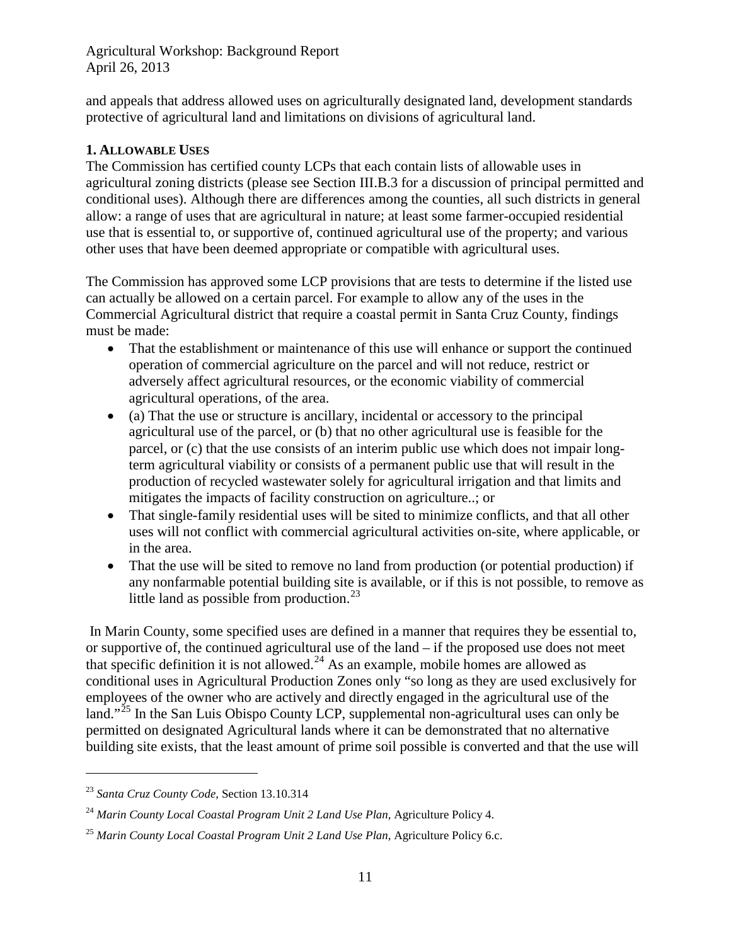and appeals that address allowed uses on agriculturally designated land, development standards protective of agricultural land and limitations on divisions of agricultural land.

#### <span id="page-10-0"></span>**1. ALLOWABLE USES**

The Commission has certified county LCPs that each contain lists of allowable uses in agricultural zoning districts (please see Section III.B.3 for a discussion of principal permitted and conditional uses). Although there are differences among the counties, all such districts in general allow: a range of uses that are agricultural in nature; at least some farmer-occupied residential use that is essential to, or supportive of, continued agricultural use of the property; and various other uses that have been deemed appropriate or compatible with agricultural uses.

The Commission has approved some LCP provisions that are tests to determine if the listed use can actually be allowed on a certain parcel. For example to allow any of the uses in the Commercial Agricultural district that require a coastal permit in Santa Cruz County, findings must be made:

- That the establishment or maintenance of this use will enhance or support the continued operation of commercial agriculture on the parcel and will not reduce, restrict or adversely affect agricultural resources, or the economic viability of commercial agricultural operations, of the area.
- (a) That the use or structure is ancillary, incidental or accessory to the principal agricultural use of the parcel, or (b) that no other agricultural use is feasible for the parcel, or (c) that the use consists of an interim public use which does not impair longterm agricultural viability or consists of a permanent public use that will result in the production of recycled wastewater solely for agricultural irrigation and that limits and mitigates the impacts of facility construction on agriculture..; or
- That single-family residential uses will be sited to minimize conflicts, and that all other uses will not conflict with commercial agricultural activities on-site, where applicable, or in the area.
- That the use will be sited to remove no land from production (or potential production) if any nonfarmable potential building site is available, or if this is not possible, to remove as little land as possible from production. $^{23}$  $^{23}$  $^{23}$

In Marin County, some specified uses are defined in a manner that requires they be essential to, or supportive of, the continued agricultural use of the land – if the proposed use does not meet that specific definition it is not allowed. $24$  As an example, mobile homes are allowed as conditional uses in Agricultural Production Zones only "so long as they are used exclusively for employees of the owner who are actively and directly engaged in the agricultural use of the land."<sup>[25](#page-10-3)</sup> In the San Luis Obispo County LCP, supplemental non-agricultural uses can only be permitted on designated Agricultural lands where it can be demonstrated that no alternative building site exists, that the least amount of prime soil possible is converted and that the use will

<span id="page-10-1"></span><sup>23</sup> *Santa Cruz County Code*, Section 13.10.314

<span id="page-10-2"></span><sup>24</sup> *Marin County Local Coastal Program Unit 2 Land Use Plan*, Agriculture Policy 4.

<span id="page-10-3"></span><sup>25</sup> *Marin County Local Coastal Program Unit 2 Land Use Plan*, Agriculture Policy 6.c.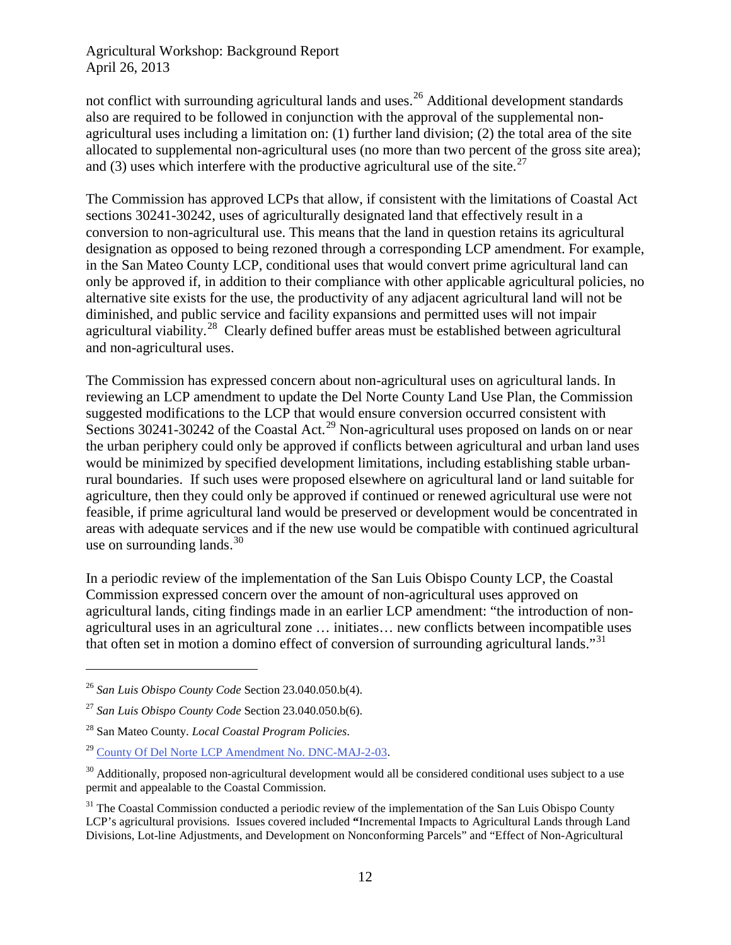not conflict with surrounding agricultural lands and uses.<sup>[26](#page-11-0)</sup> Additional development standards also are required to be followed in conjunction with the approval of the supplemental nonagricultural uses including a limitation on: (1) further land division; (2) the total area of the site allocated to supplemental non-agricultural uses (no more than two percent of the gross site area); and (3) uses which interfere with the productive agricultural use of the site.<sup>[27](#page-11-1)</sup>

The Commission has approved LCPs that allow, if consistent with the limitations of Coastal Act sections 30241-30242, uses of agriculturally designated land that effectively result in a conversion to non-agricultural use. This means that the land in question retains its agricultural designation as opposed to being rezoned through a corresponding LCP amendment. For example, in the San Mateo County LCP, conditional uses that would convert prime agricultural land can only be approved if, in addition to their compliance with other applicable agricultural policies, no alternative site exists for the use, the productivity of any adjacent agricultural land will not be diminished, and public service and facility expansions and permitted uses will not impair agricultural viability.<sup>[28](#page-11-2)</sup> Clearly defined buffer areas must be established between agricultural and non-agricultural uses.

The Commission has expressed concern about non-agricultural uses on agricultural lands. In reviewing an LCP amendment to update the Del Norte County Land Use Plan, the Commission suggested modifications to the LCP that would ensure conversion occurred consistent with Sections 30241-30242 of the Coastal Act.<sup>[29](#page-11-3)</sup> Non-agricultural uses proposed on lands on or near the urban periphery could only be approved if conflicts between agricultural and urban land uses would be minimized by specified development limitations, including establishing stable urbanrural boundaries. If such uses were proposed elsewhere on agricultural land or land suitable for agriculture, then they could only be approved if continued or renewed agricultural use were not feasible, if prime agricultural land would be preserved or development would be concentrated in areas with adequate services and if the new use would be compatible with continued agricultural use on surrounding lands. $30$ 

In a periodic review of the implementation of the San Luis Obispo County LCP, the Coastal Commission expressed concern over the amount of non-agricultural uses approved on agricultural lands, citing findings made in an earlier LCP amendment: "the introduction of nonagricultural uses in an agricultural zone … initiates… new conflicts between incompatible uses that often set in motion a domino effect of conversion of surrounding agricultural lands."<sup>31</sup>

<span id="page-11-0"></span><sup>26</sup> *San Luis Obispo County Code* Section 23.040.050.b(4).

<span id="page-11-1"></span><sup>27</sup> *San Luis Obispo County Code* Section 23.040.050.b(6).

<span id="page-11-2"></span><sup>28</sup> San Mateo County. *Local Coastal Program Policies*.

<span id="page-11-3"></span><sup>29</sup> [County Of Del Norte LCP Amendment No. DNC-MAJ-2-03](http://documents.coastal.ca.gov/reports/2009/10/W17b-10-2009.pdf).

<span id="page-11-4"></span><sup>&</sup>lt;sup>30</sup> Additionally, proposed non-agricultural development would all be considered conditional uses subject to a use permit and appealable to the Coastal Commission.

<span id="page-11-5"></span><sup>&</sup>lt;sup>31</sup> The Coastal Commission conducted a periodic review of the implementation of the San Luis Obispo County LCP's agricultural provisions. Issues covered included **"**Incremental Impacts to Agricultural Lands through Land Divisions, Lot-line Adjustments, and Development on Nonconforming Parcels" and "Effect of Non-Agricultural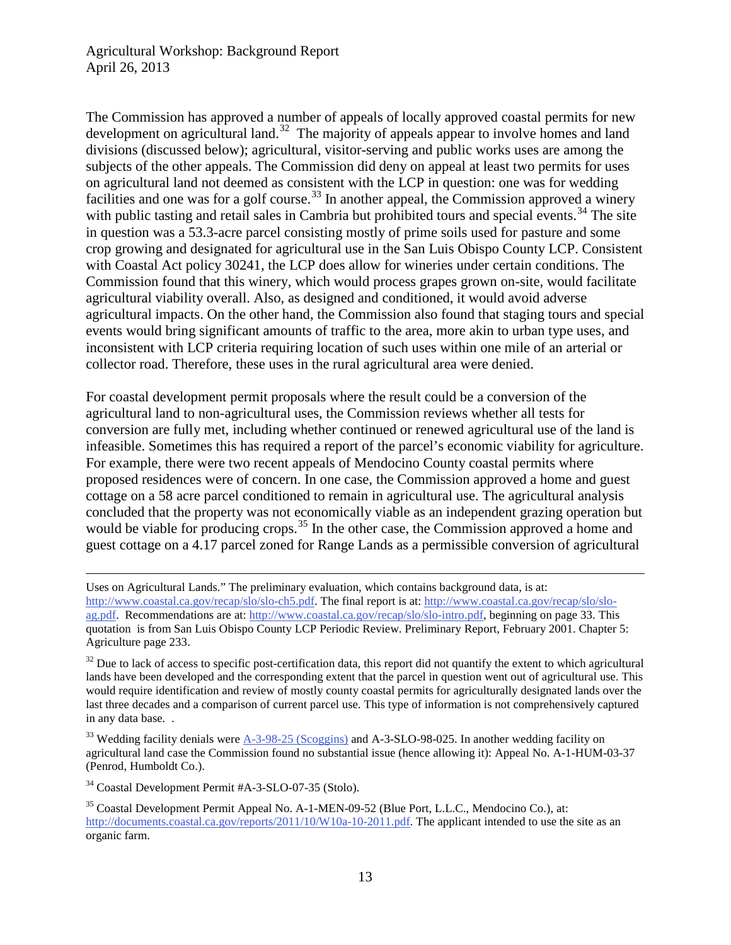The Commission has approved a number of appeals of locally approved coastal permits for new development on agricultural land.<sup>32</sup> The majority of appeals appear to involve homes and land divisions (discussed below); agricultural, visitor-serving and public works uses are among the subjects of the other appeals. The Commission did deny on appeal at least two permits for uses on agricultural land not deemed as consistent with the LCP in question: one was for wedding facilities and one was for a golf course.<sup>[33](#page-12-1)</sup> In another appeal, the Commission approved a winery with public tasting and retail sales in Cambria but prohibited tours and special events.<sup>[34](#page-12-2)</sup> The site in question was a 53.3-acre parcel consisting mostly of prime soils used for pasture and some crop growing and designated for agricultural use in the San Luis Obispo County LCP. Consistent with Coastal Act policy 30241, the LCP does allow for wineries under certain conditions. The Commission found that this winery, which would process grapes grown on-site, would facilitate agricultural viability overall. Also, as designed and conditioned, it would avoid adverse agricultural impacts. On the other hand, the Commission also found that staging tours and special events would bring significant amounts of traffic to the area, more akin to urban type uses, and inconsistent with LCP criteria requiring location of such uses within one mile of an arterial or collector road. Therefore, these uses in the rural agricultural area were denied.

For coastal development permit proposals where the result could be a conversion of the agricultural land to non-agricultural uses, the Commission reviews whether all tests for conversion are fully met, including whether continued or renewed agricultural use of the land is infeasible. Sometimes this has required a report of the parcel's economic viability for agriculture. For example, there were two recent appeals of Mendocino County coastal permits where proposed residences were of concern. In one case, the Commission approved a home and guest cottage on a 58 acre parcel conditioned to remain in agricultural use. The agricultural analysis concluded that the property was not economically viable as an independent grazing operation but would be viable for producing crops.<sup>[35](#page-12-3)</sup> In the other case, the Commission approved a home and guest cottage on a 4.17 parcel zoned for Range Lands as a permissible conversion of agricultural

 Uses on Agricultural Lands." The preliminary evaluation, which contains background data, is at: [http://www.coastal.ca.gov/recap/slo/slo-ch5.pdf.](http://www.coastal.ca.gov/recap/slo/slo-ch5.pdf) The final report is at[: http://www.coastal.ca.gov/recap/slo/slo](http://www.coastal.ca.gov/recap/slo/slo-ag.pdf)[ag.pdf.](http://www.coastal.ca.gov/recap/slo/slo-ag.pdf) Recommendations are at: [http://www.coastal.ca.gov/recap/slo/slo-intro.pdf,](http://www.coastal.ca.gov/recap/slo/slo-intro.pdf) beginning on page 33. This quotation is from San Luis Obispo County LCP Periodic Review. Preliminary Report, February 2001. Chapter 5: Agriculture page 233.

<span id="page-12-0"></span> $32$  Due to lack of access to specific post-certification data, this report did not quantify the extent to which agricultural lands have been developed and the corresponding extent that the parcel in question went out of agricultural use. This would require identification and review of mostly county coastal permits for agriculturally designated lands over the last three decades and a comparison of current parcel use. This type of information is not comprehensively captured in any data base. .

<span id="page-12-1"></span> $33$  Wedding facility denials were  $A-3-98-25$  (Scoggins) and A-3-SLO-98-025. In another wedding facility on agricultural land case the Commission found no substantial issue (hence allowing it): Appeal No. A-1-HUM-03-37 (Penrod, Humboldt Co.).

<span id="page-12-2"></span><sup>34</sup> Coastal Development Permit #A-3-SLO-07-35 (Stolo).

<span id="page-12-3"></span><sup>35</sup> Coastal Development Permit Appeal No. A-1-MEN-09-52 (Blue Port, L.L.C., Mendocino Co.), at: [http://documents.coastal.ca.gov/reports/2011/10/W10a-10-2011.pdf.](http://documents.coastal.ca.gov/reports/2011/10/W10a-10-2011.pdf) The applicant intended to use the site as an organic farm.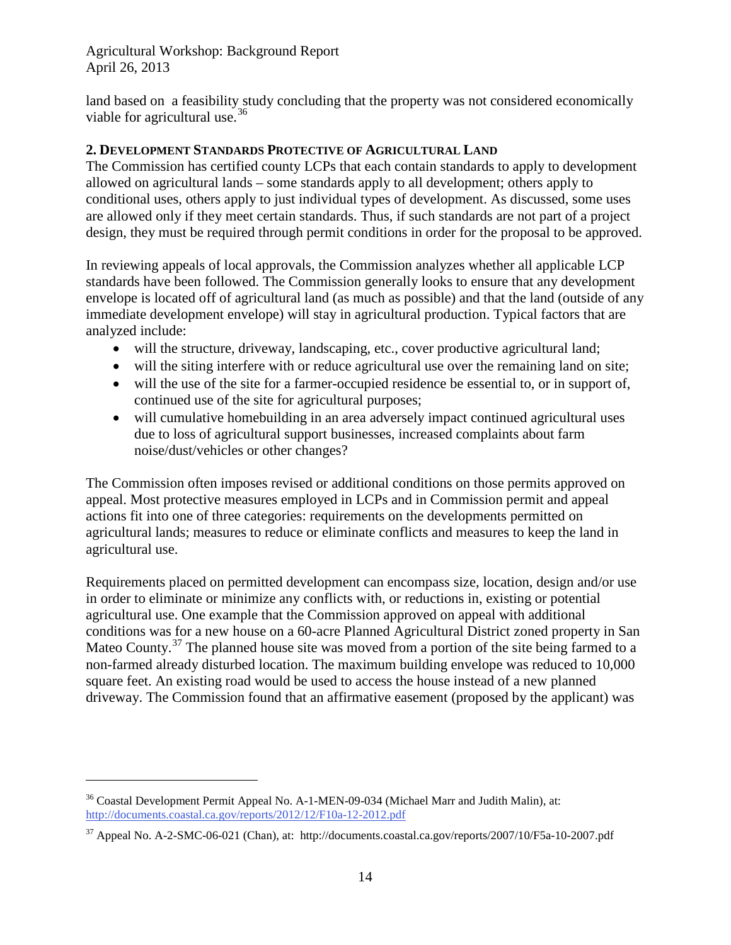land based on a feasibility study concluding that the property was not considered economically viable for agricultural use. $36$ 

#### <span id="page-13-0"></span>**2. DEVELOPMENT STANDARDS PROTECTIVE OF AGRICULTURAL LAND**

The Commission has certified county LCPs that each contain standards to apply to development allowed on agricultural lands – some standards apply to all development; others apply to conditional uses, others apply to just individual types of development. As discussed, some uses are allowed only if they meet certain standards. Thus, if such standards are not part of a project design, they must be required through permit conditions in order for the proposal to be approved.

In reviewing appeals of local approvals, the Commission analyzes whether all applicable LCP standards have been followed. The Commission generally looks to ensure that any development envelope is located off of agricultural land (as much as possible) and that the land (outside of any immediate development envelope) will stay in agricultural production. Typical factors that are analyzed include:

- will the structure, driveway, landscaping, etc., cover productive agricultural land;
- will the siting interfere with or reduce agricultural use over the remaining land on site;
- will the use of the site for a farmer-occupied residence be essential to, or in support of, continued use of the site for agricultural purposes;
- will cumulative homebuilding in an area adversely impact continued agricultural uses due to loss of agricultural support businesses, increased complaints about farm noise/dust/vehicles or other changes?

The Commission often imposes revised or additional conditions on those permits approved on appeal. Most protective measures employed in LCPs and in Commission permit and appeal actions fit into one of three categories: requirements on the developments permitted on agricultural lands; measures to reduce or eliminate conflicts and measures to keep the land in agricultural use.

Requirements placed on permitted development can encompass size, location, design and/or use in order to eliminate or minimize any conflicts with, or reductions in, existing or potential agricultural use. One example that the Commission approved on appeal with additional conditions was for a new house on a 60-acre Planned Agricultural District zoned property in San Mateo County.<sup>[37](#page-13-2)</sup> The planned house site was moved from a portion of the site being farmed to a non-farmed already disturbed location. The maximum building envelope was reduced to 10,000 square feet. An existing road would be used to access the house instead of a new planned driveway. The Commission found that an affirmative easement (proposed by the applicant) was

<span id="page-13-1"></span><sup>&</sup>lt;sup>36</sup> Coastal Development Permit Appeal No. A-1-MEN-09-034 (Michael Marr and Judith Malin), at: <http://documents.coastal.ca.gov/reports/2012/12/F10a-12-2012.pdf>

<span id="page-13-2"></span><sup>37</sup> Appeal No. A-2-SMC-06-021 (Chan), at: http://documents.coastal.ca.gov/reports/2007/10/F5a-10-2007.pdf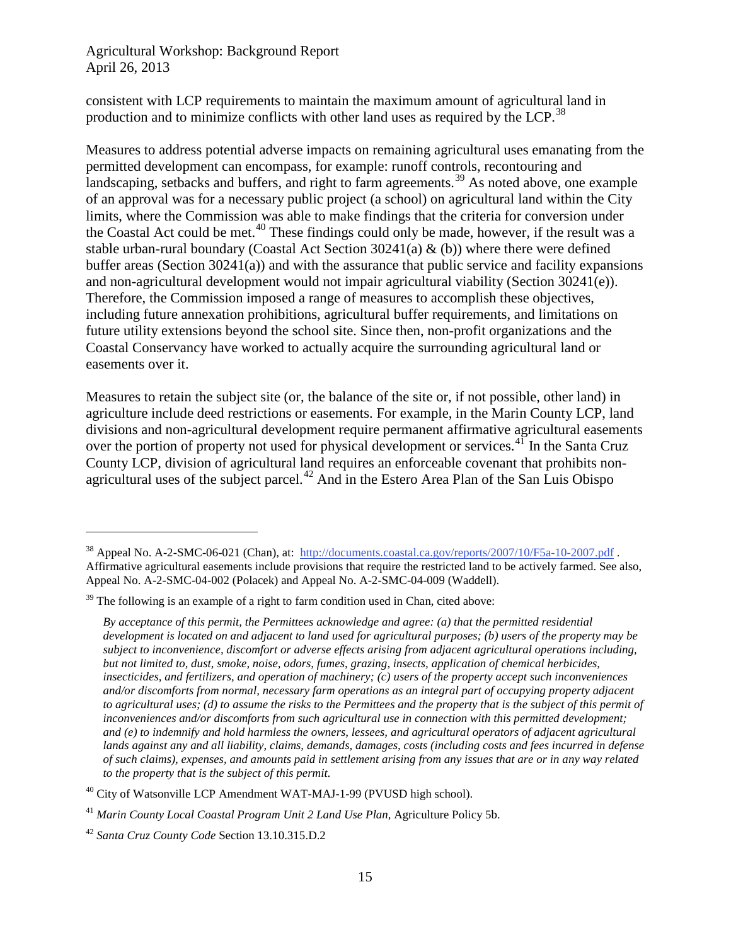consistent with LCP requirements to maintain the maximum amount of agricultural land in production and to minimize conflicts with other land uses as required by the LCP.<sup>[38](#page-14-0)</sup>

Measures to address potential adverse impacts on remaining agricultural uses emanating from the permitted development can encompass, for example: runoff controls, recontouring and landscaping, setbacks and buffers, and right to farm agreements.<sup>[39](#page-14-1)</sup> As noted above, one example of an approval was for a necessary public project (a school) on agricultural land within the City limits, where the Commission was able to make findings that the criteria for conversion under the Coastal Act could be met.<sup>[40](#page-14-2)</sup> These findings could only be made, however, if the result was a stable urban-rural boundary (Coastal Act Section  $30241(a) \& (b)$ ) where there were defined buffer areas (Section 30241(a)) and with the assurance that public service and facility expansions and non-agricultural development would not impair agricultural viability (Section 30241(e)). Therefore, the Commission imposed a range of measures to accomplish these objectives, including future annexation prohibitions, agricultural buffer requirements, and limitations on future utility extensions beyond the school site. Since then, non-profit organizations and the Coastal Conservancy have worked to actually acquire the surrounding agricultural land or easements over it.

Measures to retain the subject site (or, the balance of the site or, if not possible, other land) in agriculture include deed restrictions or easements. For example, in the Marin County LCP, land divisions and non-agricultural development require permanent affirmative agricultural easements over the portion of property not used for physical development or services.<sup>[41](#page-14-3)</sup> In the Santa Cruz County LCP, division of agricultural land requires an enforceable covenant that prohibits non-agricultural uses of the subject parcel.<sup>[42](#page-14-4)</sup> And in the Estero Area Plan of the San Luis Obispo

<span id="page-14-0"></span><sup>&</sup>lt;sup>38</sup> Appeal No. A-2-SMC-06-021 (Chan), at: <http://documents.coastal.ca.gov/reports/2007/10/F5a-10-2007.pdf>. Affirmative agricultural easements include provisions that require the restricted land to be actively farmed. See also, Appeal No. A-2-SMC-04-002 (Polacek) and Appeal No. A-2-SMC-04-009 (Waddell).

<span id="page-14-1"></span> $39$  The following is an example of a right to farm condition used in Chan, cited above:

*By acceptance of this permit, the Permittees acknowledge and agree: (a) that the permitted residential development is located on and adjacent to land used for agricultural purposes; (b) users of the property may be subject to inconvenience, discomfort or adverse effects arising from adjacent agricultural operations including, but not limited to, dust, smoke, noise, odors, fumes, grazing, insects, application of chemical herbicides, insecticides, and fertilizers, and operation of machinery; (c) users of the property accept such inconveniences and/or discomforts from normal, necessary farm operations as an integral part of occupying property adjacent to agricultural uses; (d) to assume the risks to the Permittees and the property that is the subject of this permit of inconveniences and/or discomforts from such agricultural use in connection with this permitted development; and (e) to indemnify and hold harmless the owners, lessees, and agricultural operators of adjacent agricultural lands against any and all liability, claims, demands, damages, costs (including costs and fees incurred in defense of such claims), expenses, and amounts paid in settlement arising from any issues that are or in any way related to the property that is the subject of this permit*.

<span id="page-14-2"></span><sup>&</sup>lt;sup>40</sup> City of Watsonville LCP Amendment WAT-MAJ-1-99 (PVUSD high school).

<span id="page-14-3"></span><sup>41</sup> *Marin County Local Coastal Program Unit 2 Land Use Plan*, Agriculture Policy 5b.

<span id="page-14-4"></span><sup>42</sup> *Santa Cruz County Code* Section 13.10.315.D.2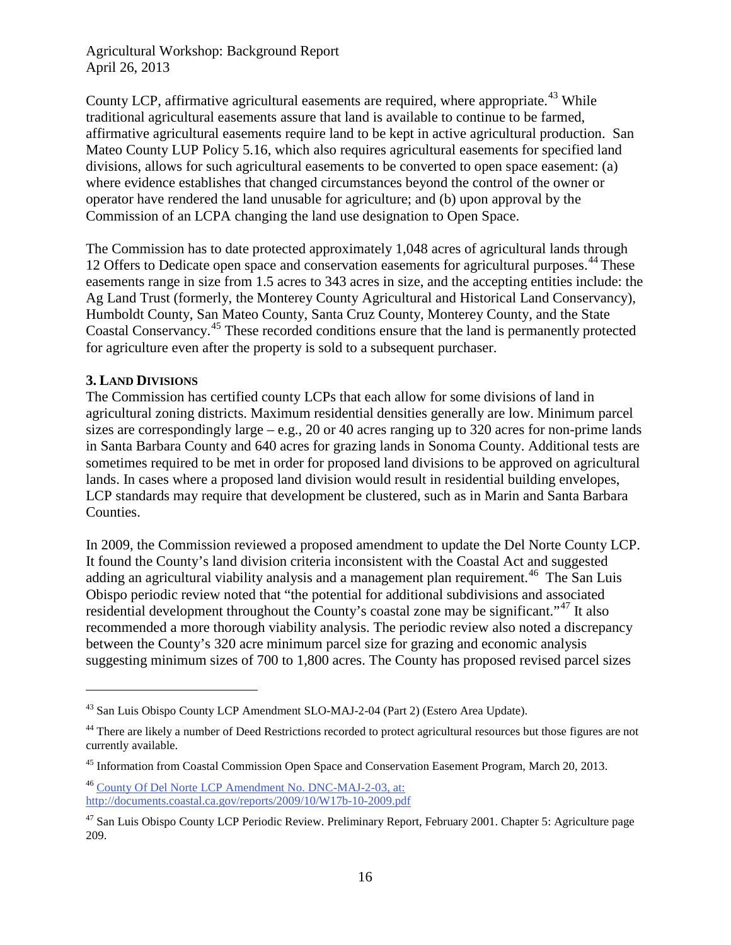County LCP, affirmative agricultural easements are required, where appropriate.<sup>[43](#page-15-1)</sup> While traditional agricultural easements assure that land is available to continue to be farmed, affirmative agricultural easements require land to be kept in active agricultural production. San Mateo County LUP Policy 5.16, which also requires agricultural easements for specified land divisions, allows for such agricultural easements to be converted to open space easement: (a) where evidence establishes that changed circumstances beyond the control of the owner or operator have rendered the land unusable for agriculture; and (b) upon approval by the Commission of an LCPA changing the land use designation to Open Space.

The Commission has to date protected approximately 1,048 acres of agricultural lands through 12 Offers to Dedicate open space and conservation easements for agricultural purposes.<sup>[44](#page-15-2)</sup> These easements range in size from 1.5 acres to 343 acres in size, and the accepting entities include: the Ag Land Trust (formerly, the Monterey County Agricultural and Historical Land Conservancy), Humboldt County, San Mateo County, Santa Cruz County, Monterey County, and the State Coastal Conservancy.[45](#page-15-3) These recorded conditions ensure that the land is permanently protected for agriculture even after the property is sold to a subsequent purchaser.

#### <span id="page-15-0"></span>**3. LAND DIVISIONS**

 $\overline{a}$ 

The Commission has certified county LCPs that each allow for some divisions of land in agricultural zoning districts. Maximum residential densities generally are low. Minimum parcel sizes are correspondingly large – e.g., 20 or 40 acres ranging up to 320 acres for non-prime lands in Santa Barbara County and 640 acres for grazing lands in Sonoma County. Additional tests are sometimes required to be met in order for proposed land divisions to be approved on agricultural lands. In cases where a proposed land division would result in residential building envelopes, LCP standards may require that development be clustered, such as in Marin and Santa Barbara Counties.

In 2009, the Commission reviewed a proposed amendment to update the Del Norte County LCP. It found the County's land division criteria inconsistent with the Coastal Act and suggested adding an agricultural viability analysis and a management plan requirement.<sup>[46](#page-15-4)</sup> The San Luis Obispo periodic review noted that "the potential for additional subdivisions and associated residential development throughout the County's coastal zone may be significant."<sup>[47](#page-15-5)</sup> It also recommended a more thorough viability analysis. The periodic review also noted a discrepancy between the County's 320 acre minimum parcel size for grazing and economic analysis suggesting minimum sizes of 700 to 1,800 acres. The County has proposed revised parcel sizes

<span id="page-15-4"></span><sup>46</sup> [County Of Del Norte LCP Amendment No. DNC-MAJ-2-03,](http://documents.coastal.ca.gov/reports/2009/10/W17b-10-2009.pdf) at: http://documents.coastal.ca.gov/reports/2009/10/W17b-10-2009.pdf

<span id="page-15-1"></span><sup>43</sup> San Luis Obispo County LCP Amendment SLO-MAJ-2-04 (Part 2) (Estero Area Update).

<span id="page-15-2"></span><sup>&</sup>lt;sup>44</sup> There are likely a number of Deed Restrictions recorded to protect agricultural resources but those figures are not currently available.

<span id="page-15-3"></span><sup>&</sup>lt;sup>45</sup> Information from Coastal Commission Open Space and Conservation Easement Program, March 20, 2013.

<span id="page-15-5"></span><sup>&</sup>lt;sup>47</sup> San Luis Obispo County LCP Periodic Review. Preliminary Report, February 2001. Chapter 5: Agriculture page 209.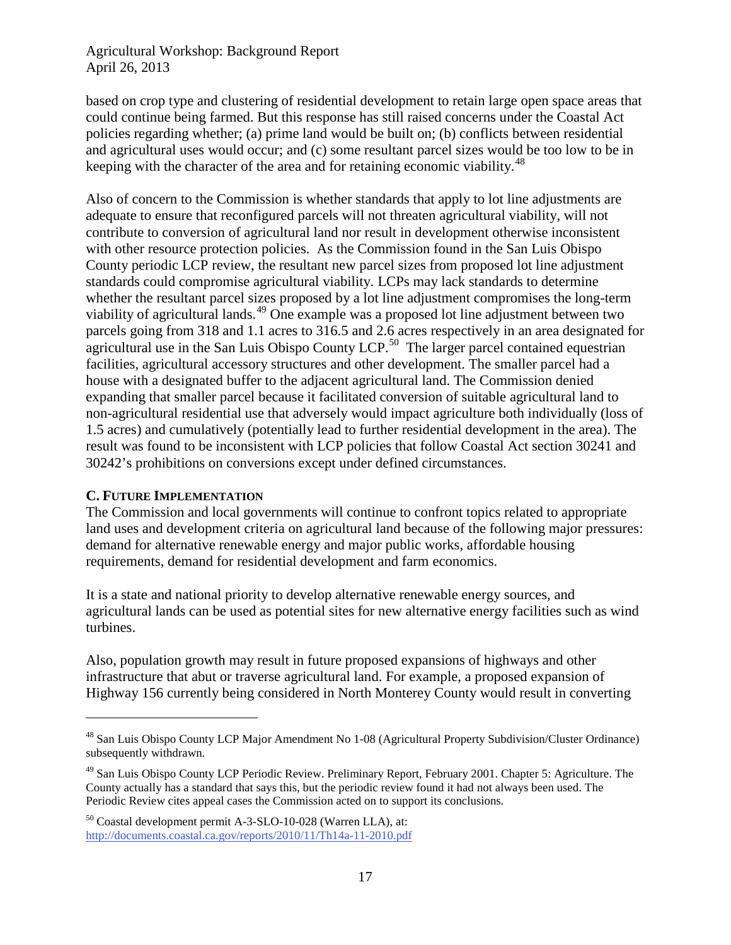based on crop type and clustering of residential development to retain large open space areas that could continue being farmed. But this response has still raised concerns under the Coastal Act policies regarding whether; (a) prime land would be built on; (b) conflicts between residential and agricultural uses would occur; and (c) some resultant parcel sizes would be too low to be in keeping with the character of the area and for retaining economic viability.<sup>[48](#page-16-1)</sup>

Also of concern to the Commission is whether standards that apply to lot line adjustments are adequate to ensure that reconfigured parcels will not threaten agricultural viability, will not contribute to conversion of agricultural land nor result in development otherwise inconsistent with other resource protection policies. As the Commission found in the San Luis Obispo County periodic LCP review, the resultant new parcel sizes from proposed lot line adjustment standards could compromise agricultural viability. LCPs may lack standards to determine whether the resultant parcel sizes proposed by a lot line adjustment compromises the long-term viability of agricultural lands.<sup>[49](#page-16-2)</sup> One example was a proposed lot line adjustment between two parcels going from 318 and 1.1 acres to 316.5 and 2.6 acres respectively in an area designated for agricultural use in the San Luis Obispo County LCP.<sup>[50](#page-16-3)</sup> The larger parcel contained equestrian facilities, agricultural accessory structures and other development. The smaller parcel had a house with a designated buffer to the adjacent agricultural land. The Commission denied expanding that smaller parcel because it facilitated conversion of suitable agricultural land to non-agricultural residential use that adversely would impact agriculture both individually (loss of 1.5 acres) and cumulatively (potentially lead to further residential development in the area). The result was found to be inconsistent with LCP policies that follow Coastal Act section 30241 and 30242's prohibitions on conversions except under defined circumstances.

#### <span id="page-16-0"></span>**C. FUTURE IMPLEMENTATION**

 $\overline{a}$ 

The Commission and local governments will continue to confront topics related to appropriate land uses and development criteria on agricultural land because of the following major pressures: demand for alternative renewable energy and major public works, affordable housing requirements, demand for residential development and farm economics.

It is a state and national priority to develop alternative renewable energy sources, and agricultural lands can be used as potential sites for new alternative energy facilities such as wind turbines.

Also, population growth may result in future proposed expansions of highways and other infrastructure that abut or traverse agricultural land. For example, a proposed expansion of Highway 156 currently being considered in North Monterey County would result in converting

<span id="page-16-1"></span><sup>48</sup> San Luis Obispo County LCP Major Amendment No 1-08 (Agricultural Property Subdivision/Cluster Ordinance) subsequently withdrawn.

<span id="page-16-2"></span><sup>&</sup>lt;sup>49</sup> San Luis Obispo County LCP Periodic Review. Preliminary Report, February 2001. Chapter 5: Agriculture. The County actually has a standard that says this, but the periodic review found it had not always been used. The Periodic Review cites appeal cases the Commission acted on to support its conclusions.

<span id="page-16-3"></span><sup>50</sup> Coastal development permit A-3-SLO-10-028 (Warren LLA), at: <http://documents.coastal.ca.gov/reports/2010/11/Th14a-11-2010.pdf>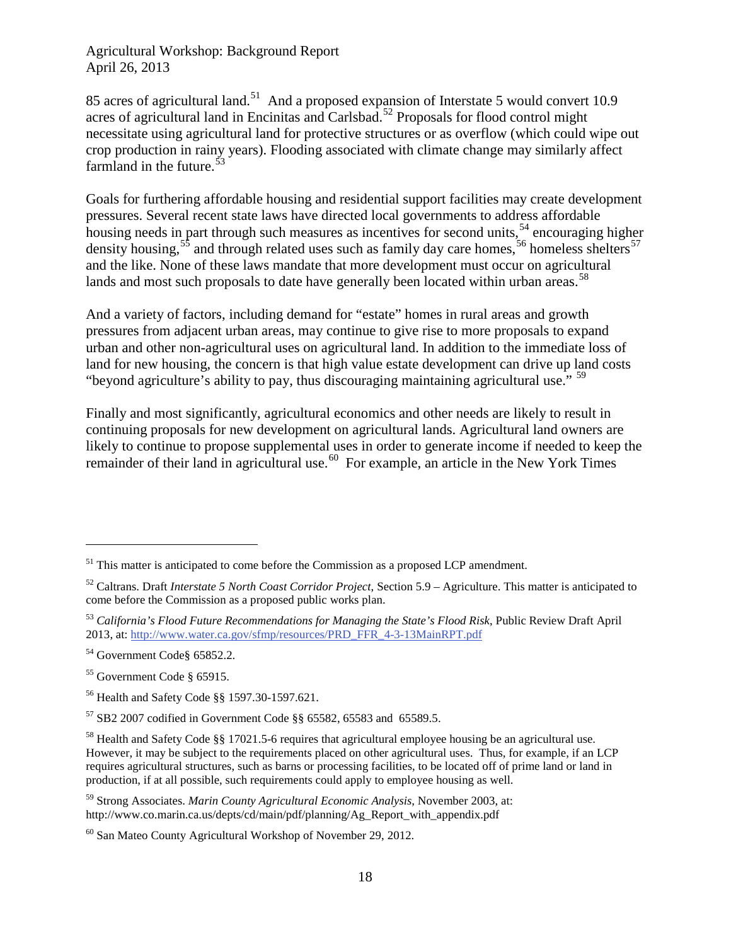85 acres of agricultural land.<sup>[51](#page-17-0)</sup> And a proposed expansion of Interstate 5 would convert 10.9 acres of agricultural land in Encinitas and Carlsbad.<sup>[52](#page-17-1)</sup> Proposals for flood control might necessitate using agricultural land for protective structures or as overflow (which could wipe out crop production in rainy years). Flooding associated with climate change may similarly affect farmland in the future. $53$ 

Goals for furthering affordable housing and residential support facilities may create development pressures. Several recent state laws have directed local governments to address affordable housing needs in part through such measures as incentives for second units,<sup>[54](#page-17-3)</sup> encouraging higher density housing,  $55$  and through related uses such as family day care homes,  $56$  homeless shelters  $57$ and the like. None of these laws mandate that more development must occur on agricultural lands and most such proposals to date have generally been located within urban areas.<sup>[58](#page-17-7)</sup>

And a variety of factors, including demand for "estate" homes in rural areas and growth pressures from adjacent urban areas, may continue to give rise to more proposals to expand urban and other non-agricultural uses on agricultural land. In addition to the immediate loss of land for new housing, the concern is that high value estate development can drive up land costs "beyond agriculture's ability to pay, thus discouraging maintaining agricultural use."<sup>[59](#page-17-8)</sup>

Finally and most significantly, agricultural economics and other needs are likely to result in continuing proposals for new development on agricultural lands. Agricultural land owners are likely to continue to propose supplemental uses in order to generate income if needed to keep the remainder of their land in agricultural use.<sup>60</sup> For example, an article in the New York Times

<span id="page-17-0"></span> $<sup>51</sup>$  This matter is anticipated to come before the Commission as a proposed LCP amendment.</sup>

<span id="page-17-1"></span><sup>52</sup> Caltrans. Draft *Interstate 5 North Coast Corridor Project*, Section 5.9 – Agriculture. This matter is anticipated to come before the Commission as a proposed public works plan.

<span id="page-17-2"></span><sup>53</sup> *California's Flood Future Recommendations for Managing the State's Flood Risk*, Public Review Draft April 2013, at[: http://www.water.ca.gov/sfmp/resources/PRD\\_FFR\\_4-3-13MainRPT.pdf](http://www.water.ca.gov/sfmp/resources/PRD_FFR_4-3-13MainRPT.pdf)

<span id="page-17-3"></span><sup>54</sup> Government Code§ 65852.2.

<span id="page-17-4"></span><sup>55</sup> Government Code § 65915.

<span id="page-17-5"></span><sup>56</sup> Health and Safety Code §§ 1597.30-1597.621.

<span id="page-17-6"></span> $57$  SB2 2007 codified in Government Code §§ 65582, 65583 and 65589.5.

<span id="page-17-7"></span><sup>58</sup> Health and Safety Code §§ 17021.5-6 requires that agricultural employee housing be an agricultural use. However, it may be subject to the requirements placed on other agricultural uses. Thus, for example, if an LCP requires agricultural structures, such as barns or processing facilities, to be located off of prime land or land in production, if at all possible, such requirements could apply to employee housing as well.

<span id="page-17-8"></span><sup>59</sup> Strong Associates. *Marin County Agricultural Economic Analysis*, November 2003, at: http://www.co.marin.ca.us/depts/cd/main/pdf/planning/Ag\_Report\_with\_appendix.pdf

<span id="page-17-9"></span> $60$  San Mateo County Agricultural Workshop of November 29, 2012.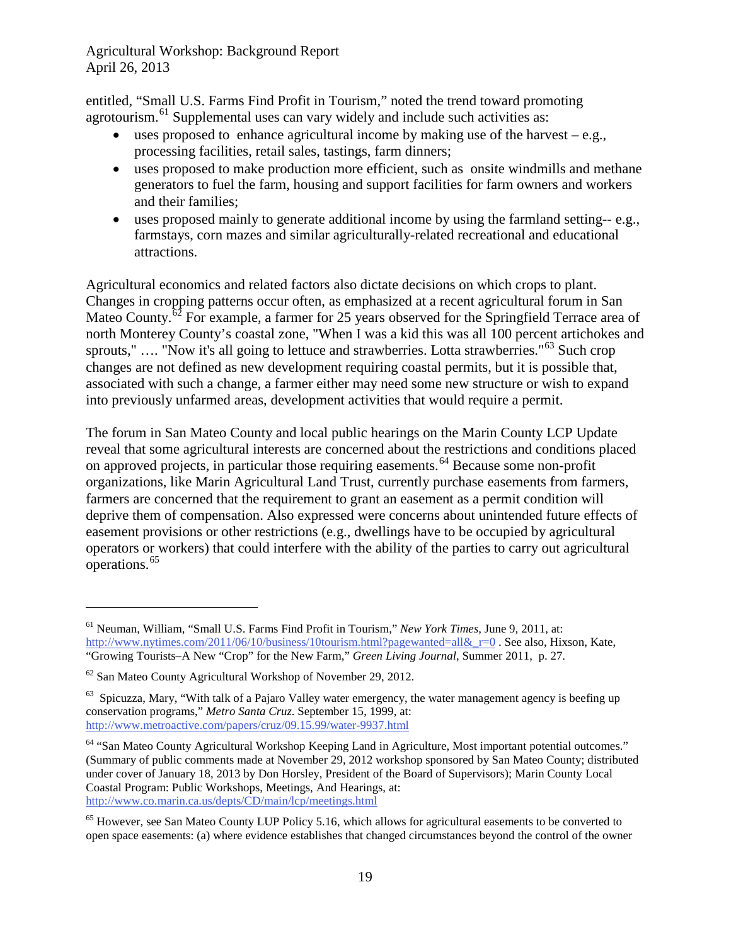entitled, "Small U.S. Farms Find Profit in Tourism," noted the trend toward promoting agrotourism.<sup>[61](#page-18-0)</sup> Supplemental uses can vary widely and include such activities as:

- uses proposed to enhance agricultural income by making use of the harvest  $-e.g.,$ processing facilities, retail sales, tastings, farm dinners;
- uses proposed to make production more efficient, such as onsite windmills and methane generators to fuel the farm, housing and support facilities for farm owners and workers and their families;
- uses proposed mainly to generate additional income by using the farmland setting-- e.g., farmstays, corn mazes and similar agriculturally-related recreational and educational attractions.

Agricultural economics and related factors also dictate decisions on which crops to plant. Changes in cropping patterns occur often, as emphasized at a recent agricultural forum in San Mateo County.<sup>[62](#page-18-1)</sup> For example, a farmer for 25 years observed for the Springfield Terrace area of north Monterey County's coastal zone, "When I was a kid this was all 100 percent artichokes and sprouts," .... "Now it's all going to lettuce and strawberries. Lotta strawberries."<sup>[63](#page-18-2)</sup> Such crop changes are not defined as new development requiring coastal permits, but it is possible that, associated with such a change, a farmer either may need some new structure or wish to expand into previously unfarmed areas, development activities that would require a permit.

The forum in San Mateo County and local public hearings on the Marin County LCP Update reveal that some agricultural interests are concerned about the restrictions and conditions placed on approved projects, in particular those requiring easements.<sup>[64](#page-18-3)</sup> Because some non-profit organizations, like Marin Agricultural Land Trust, currently purchase easements from farmers, farmers are concerned that the requirement to grant an easement as a permit condition will deprive them of compensation. Also expressed were concerns about unintended future effects of easement provisions or other restrictions (e.g., dwellings have to be occupied by agricultural operators or workers) that could interfere with the ability of the parties to carry out agricultural operations. [65](#page-18-4)

<span id="page-18-0"></span><sup>61</sup> Neuman, William, "Small U.S. Farms Find Profit in Tourism," *New York Times*, June 9, 2011, at: http://www.nytimes.com/2011/06/10/business/10tourism.html?pagewanted=all& r=0. See also, Hixson, Kate, "Growing Tourists–A New "Crop" for the New Farm," *Green Living Journal*, Summer 2011, p. 27.

<span id="page-18-1"></span> $62$  San Mateo County Agricultural Workshop of November 29, 2012.

<span id="page-18-2"></span> $63$  Spicuzza, Mary, "With talk of a Pajaro Valley water emergency, the water management agency is beefing up conservation programs," *Metro Santa Cruz*. September 15, 1999, at: <http://www.metroactive.com/papers/cruz/09.15.99/water-9937.html>

<span id="page-18-3"></span><sup>&</sup>lt;sup>64</sup> "San Mateo County Agricultural Workshop Keeping Land in Agriculture, Most important potential outcomes." (Summary of public comments made at November 29, 2012 workshop sponsored by San Mateo County; distributed under cover of January 18, 2013 by Don Horsley, President of the Board of Supervisors); Marin County Local Coastal Program: Public Workshops, Meetings, And Hearings, at: <http://www.co.marin.ca.us/depts/CD/main/lcp/meetings.html>

<span id="page-18-4"></span><sup>&</sup>lt;sup>65</sup> However, see San Mateo County LUP Policy 5.16, which allows for agricultural easements to be converted to open space easements: (a) where evidence establishes that changed circumstances beyond the control of the owner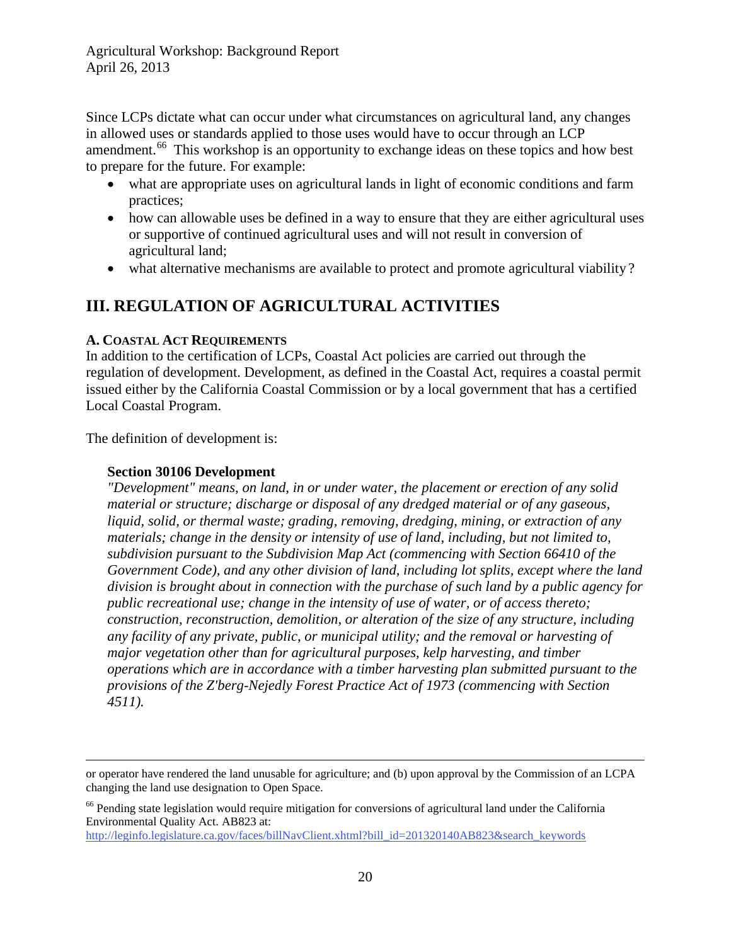Since LCPs dictate what can occur under what circumstances on agricultural land, any changes in allowed uses or standards applied to those uses would have to occur through an LCP amendment.<sup>66</sup> This workshop is an opportunity to exchange ideas on these topics and how best to prepare for the future. For example:

- what are appropriate uses on agricultural lands in light of economic conditions and farm practices;
- how can allowable uses be defined in a way to ensure that they are either agricultural uses or supportive of continued agricultural uses and will not result in conversion of agricultural land;
- what alternative mechanisms are available to protect and promote agricultural viability?

## <span id="page-19-0"></span>**III. REGULATION OF AGRICULTURAL ACTIVITIES**

#### <span id="page-19-1"></span>**A. COASTAL ACT REQUIREMENTS**

In addition to the certification of LCPs, Coastal Act policies are carried out through the regulation of development. Development, as defined in the Coastal Act, requires a coastal permit issued either by the California Coastal Commission or by a local government that has a certified Local Coastal Program.

The definition of development is:

#### **Section 30106 Development**

*"Development" means, on land, in or under water, the placement or erection of any solid material or structure; discharge or disposal of any dredged material or of any gaseous, liquid, solid, or thermal waste; grading, removing, dredging, mining, or extraction of any materials; change in the density or intensity of use of land, including, but not limited to, subdivision pursuant to the Subdivision Map Act (commencing with Section 66410 of the Government Code), and any other division of land, including lot splits, except where the land division is brought about in connection with the purchase of such land by a public agency for public recreational use; change in the intensity of use of water, or of access thereto; construction, reconstruction, demolition, or alteration of the size of any structure, including any facility of any private, public, or municipal utility; and the removal or harvesting of major vegetation other than for agricultural purposes, kelp harvesting, and timber operations which are in accordance with a timber harvesting plan submitted pursuant to the provisions of the Z'berg-Nejedly Forest Practice Act of 1973 (commencing with Section 4511).* 

or operator have rendered the land unusable for agriculture; and (b) upon approval by the Commission of an LCPA changing the land use designation to Open Space.

<span id="page-19-2"></span><sup>&</sup>lt;sup>66</sup> Pending state legislation would require mitigation for conversions of agricultural land under the California Environmental Quality Act. AB823 at:

[http://leginfo.legislature.ca.gov/faces/billNavClient.xhtml?bill\\_id=201320140AB823&search\\_keywords](http://leginfo.legislature.ca.gov/faces/billNavClient.xhtml?bill_id=201320140AB823&search_keywords)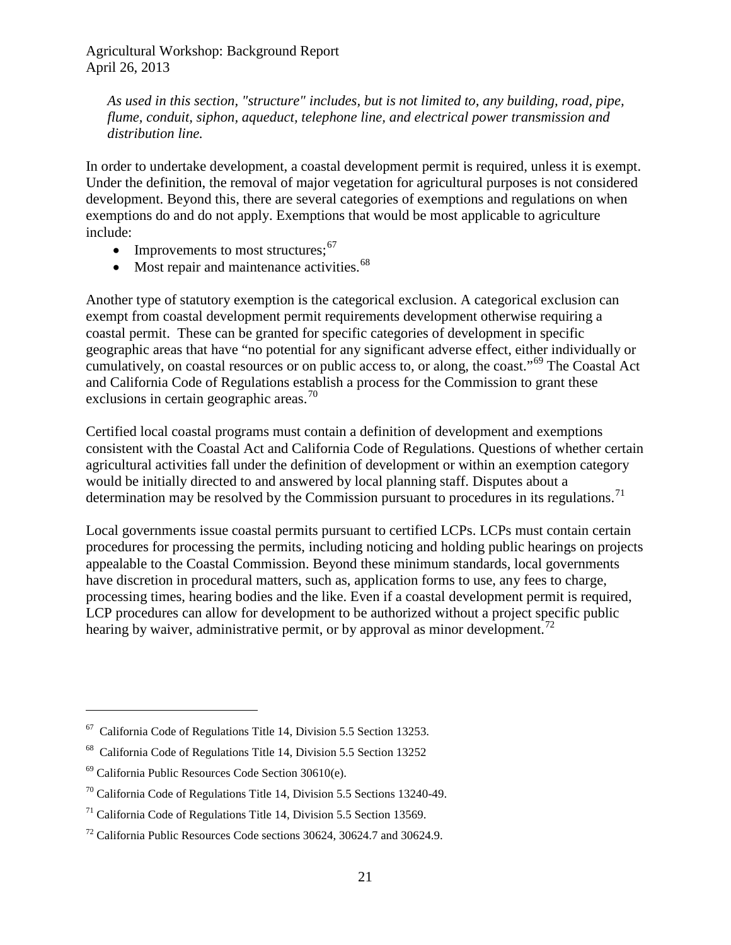*As used in this section, "structure" includes, but is not limited to, any building, road, pipe, flume, conduit, siphon, aqueduct, telephone line, and electrical power transmission and distribution line.*

In order to undertake development, a coastal development permit is required, unless it is exempt. Under the definition, the removal of major vegetation for agricultural purposes is not considered development. Beyond this, there are several categories of exemptions and regulations on when exemptions do and do not apply. Exemptions that would be most applicable to agriculture include:

- Improvements to most structures;  $67$
- Most repair and maintenance activities. $68$

Another type of statutory exemption is the categorical exclusion. A categorical exclusion can exempt from coastal development permit requirements development otherwise requiring a coastal permit. These can be granted for specific categories of development in specific geographic areas that have "no potential for any significant adverse effect, either individually or cumulatively, on coastal resources or on public access to, or along, the coast."[69](#page-20-2) The Coastal Act and California Code of Regulations establish a process for the Commission to grant these exclusions in certain geographic areas.<sup>[70](#page-20-3)</sup>

Certified local coastal programs must contain a definition of development and exemptions consistent with the Coastal Act and California Code of Regulations. Questions of whether certain agricultural activities fall under the definition of development or within an exemption category would be initially directed to and answered by local planning staff. Disputes about a determination may be resolved by the Commission pursuant to procedures in its regulations.<sup>[71](#page-20-4)</sup>

Local governments issue coastal permits pursuant to certified LCPs. LCPs must contain certain procedures for processing the permits, including noticing and holding public hearings on projects appealable to the Coastal Commission. Beyond these minimum standards, local governments have discretion in procedural matters, such as, application forms to use, any fees to charge, processing times, hearing bodies and the like. Even if a coastal development permit is required, LCP procedures can allow for development to be authorized without a project specific public hearing by waiver, administrative permit, or by approval as minor development.<sup>[72](#page-20-5)</sup>

<span id="page-20-0"></span> $67$  California Code of Regulations Title 14, Division 5.5 Section 13253.

<span id="page-20-1"></span><sup>68</sup> California Code of Regulations Title 14, Division 5.5 Section 13252

<span id="page-20-2"></span> $69$  California Public Resources Code Section 30610(e).

<span id="page-20-3"></span> $70$  California Code of Regulations Title 14, Division 5.5 Sections 13240-49.

<span id="page-20-4"></span> $71$  California Code of Regulations Title 14, Division 5.5 Section 13569.

<span id="page-20-5"></span> $72$  California Public Resources Code sections 30624, 30624.7 and 30624.9.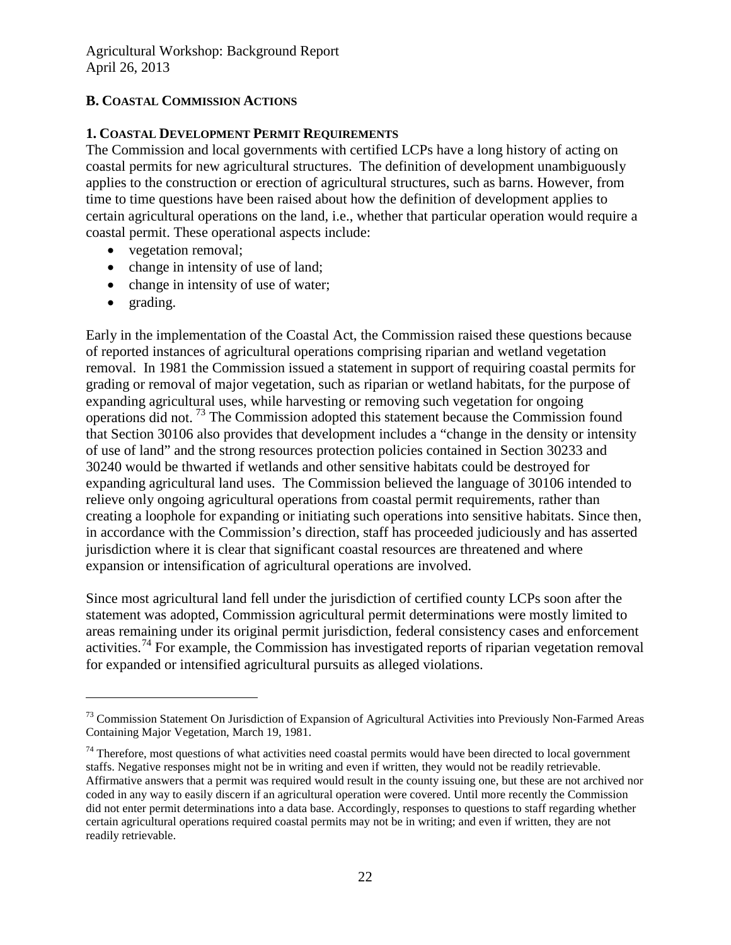## <span id="page-21-0"></span>**B. COASTAL COMMISSION ACTIONS**

## <span id="page-21-1"></span>**1. COASTAL DEVELOPMENT PERMIT REQUIREMENTS**

The Commission and local governments with certified LCPs have a long history of acting on coastal permits for new agricultural structures. The definition of development unambiguously applies to the construction or erection of agricultural structures, such as barns. However, from time to time questions have been raised about how the definition of development applies to certain agricultural operations on the land, i.e., whether that particular operation would require a coastal permit. These operational aspects include:

- vegetation removal;
- change in intensity of use of land;
- change in intensity of use of water;
- grading.

 $\overline{a}$ 

Early in the implementation of the Coastal Act, the Commission raised these questions because of reported instances of agricultural operations comprising riparian and wetland vegetation removal. In 1981 the Commission issued a statement in support of requiring coastal permits for grading or removal of major vegetation, such as riparian or wetland habitats, for the purpose of expanding agricultural uses, while harvesting or removing such vegetation for ongoing operations did not. [73](#page-21-2) The Commission adopted this statement because the Commission found that Section 30106 also provides that development includes a "change in the density or intensity of use of land" and the strong resources protection policies contained in Section 30233 and 30240 would be thwarted if wetlands and other sensitive habitats could be destroyed for expanding agricultural land uses. The Commission believed the language of 30106 intended to relieve only ongoing agricultural operations from coastal permit requirements, rather than creating a loophole for expanding or initiating such operations into sensitive habitats. Since then, in accordance with the Commission's direction, staff has proceeded judiciously and has asserted jurisdiction where it is clear that significant coastal resources are threatened and where expansion or intensification of agricultural operations are involved.

Since most agricultural land fell under the jurisdiction of certified county LCPs soon after the statement was adopted, Commission agricultural permit determinations were mostly limited to areas remaining under its original permit jurisdiction, federal consistency cases and enforcement activities.<sup>[74](#page-21-3)</sup> For example, the Commission has investigated reports of riparian vegetation removal for expanded or intensified agricultural pursuits as alleged violations.

<span id="page-21-2"></span><sup>&</sup>lt;sup>73</sup> Commission Statement On Jurisdiction of Expansion of Agricultural Activities into Previously Non-Farmed Areas Containing Major Vegetation, March 19, 1981.

<span id="page-21-3"></span> $74$  Therefore, most questions of what activities need coastal permits would have been directed to local government staffs. Negative responses might not be in writing and even if written, they would not be readily retrievable. Affirmative answers that a permit was required would result in the county issuing one, but these are not archived nor coded in any way to easily discern if an agricultural operation were covered. Until more recently the Commission did not enter permit determinations into a data base. Accordingly, responses to questions to staff regarding whether certain agricultural operations required coastal permits may not be in writing; and even if written, they are not readily retrievable.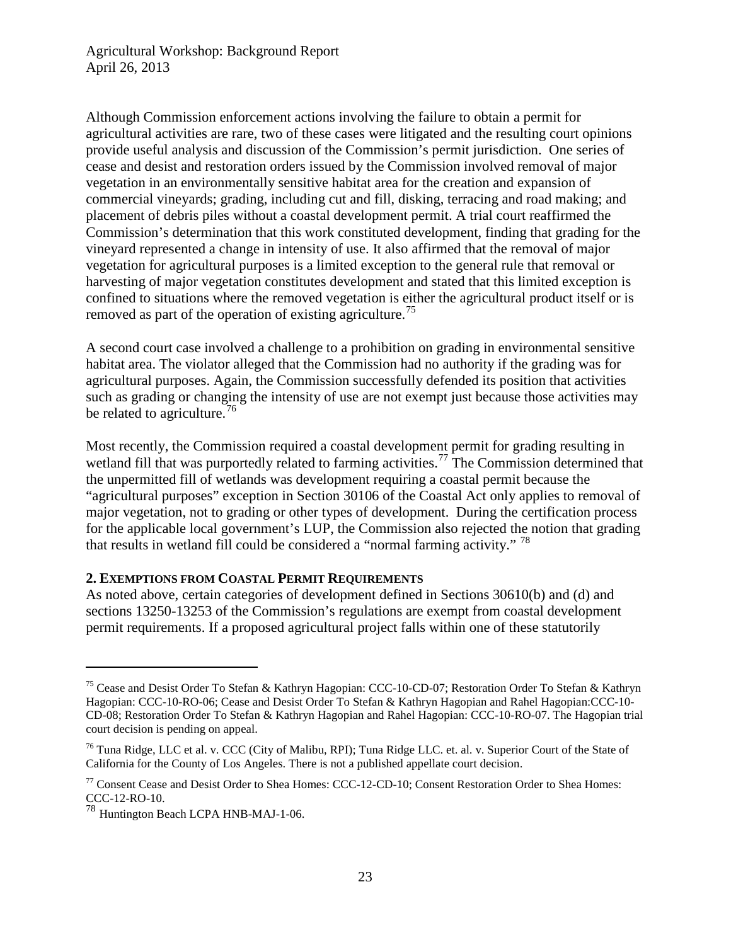Although Commission enforcement actions involving the failure to obtain a permit for agricultural activities are rare, two of these cases were litigated and the resulting court opinions provide useful analysis and discussion of the Commission's permit jurisdiction. One series of cease and desist and restoration orders issued by the Commission involved removal of major vegetation in an environmentally sensitive habitat area for the creation and expansion of commercial vineyards; grading, including cut and fill, disking, terracing and road making; and placement of debris piles without a coastal development permit. A trial court reaffirmed the Commission's determination that this work constituted development, finding that grading for the vineyard represented a change in intensity of use. It also affirmed that the removal of major vegetation for agricultural purposes is a limited exception to the general rule that removal or harvesting of major vegetation constitutes development and stated that this limited exception is confined to situations where the removed vegetation is either the agricultural product itself or is removed as part of the operation of existing agriculture.<sup>[75](#page-22-1)</sup>

A second court case involved a challenge to a prohibition on grading in environmental sensitive habitat area. The violator alleged that the Commission had no authority if the grading was for agricultural purposes. Again, the Commission successfully defended its position that activities such as grading or changing the intensity of use are not exempt just because those activities may be related to agriculture.<sup>[76](#page-22-2)</sup>

Most recently, the Commission required a coastal development permit for grading resulting in wetland fill that was purportedly related to farming activities.<sup>[77](#page-22-3)</sup> The Commission determined that the unpermitted fill of wetlands was development requiring a coastal permit because the "agricultural purposes" exception in Section 30106 of the Coastal Act only applies to removal of major vegetation, not to grading or other types of development. During the certification process for the applicable local government's LUP, the Commission also rejected the notion that grading that results in wetland fill could be considered a "normal farming activity." <sup>[78](#page-22-4)</sup>

#### <span id="page-22-0"></span>**2. EXEMPTIONS FROM COASTAL PERMIT REQUIREMENTS**

As noted above, certain categories of development defined in Sections 30610(b) and (d) and sections 13250-13253 of the Commission's regulations are exempt from coastal development permit requirements. If a proposed agricultural project falls within one of these statutorily

<span id="page-22-1"></span><sup>&</sup>lt;sup>75</sup> Cease and Desist Order To Stefan & Kathryn Hagopian: CCC-10-CD-07; Restoration Order To Stefan & Kathryn Hagopian: CCC-10-RO-06; Cease and Desist Order To Stefan & Kathryn Hagopian and Rahel Hagopian:CCC-10- CD-08; Restoration Order To Stefan & Kathryn Hagopian and Rahel Hagopian: CCC-10-RO-07. The Hagopian trial court decision is pending on appeal.

<span id="page-22-2"></span><sup>&</sup>lt;sup>76</sup> Tuna Ridge, LLC et al. v. CCC (City of Malibu, RPI); Tuna Ridge LLC. et. al. v. Superior Court of the State of California for the County of Los Angeles. There is not a published appellate court decision.

<span id="page-22-3"></span><sup>77</sup> Consent Cease and Desist Order to Shea Homes: CCC-12-CD-10; Consent Restoration Order to Shea Homes: CCC-12-RO-10.

<span id="page-22-4"></span><sup>78</sup> Huntington Beach LCPA HNB-MAJ-1-06.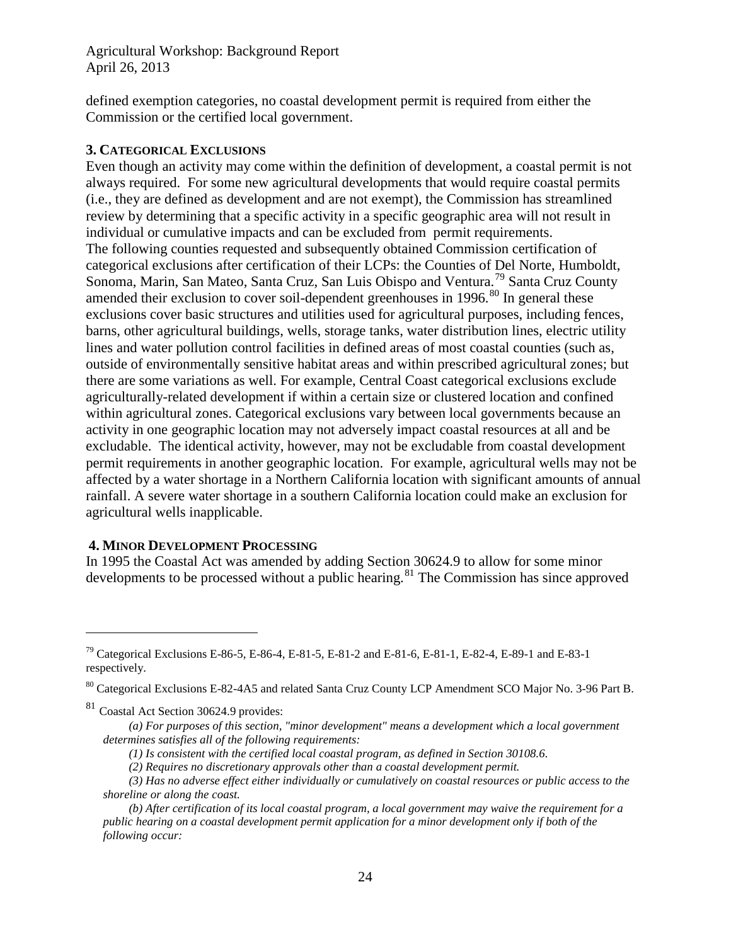defined exemption categories, no coastal development permit is required from either the Commission or the certified local government.

#### <span id="page-23-0"></span>**3. CATEGORICAL EXCLUSIONS**

Even though an activity may come within the definition of development, a coastal permit is not always required. For some new agricultural developments that would require coastal permits (i.e., they are defined as development and are not exempt), the Commission has streamlined review by determining that a specific activity in a specific geographic area will not result in individual or cumulative impacts and can be excluded from permit requirements. The following counties requested and subsequently obtained Commission certification of categorical exclusions after certification of their LCPs: the Counties of Del Norte, Humboldt, Sonoma, Marin, San Mateo, Santa Cruz, San Luis Obispo and Ventura.<sup>[79](#page-23-2)</sup> Santa Cruz County amended their exclusion to cover soil-dependent greenhouses in  $1996$ .<sup>[80](#page-23-3)</sup> In general these exclusions cover basic structures and utilities used for agricultural purposes, including fences, barns, other agricultural buildings, wells, storage tanks, water distribution lines, electric utility lines and water pollution control facilities in defined areas of most coastal counties (such as, outside of environmentally sensitive habitat areas and within prescribed agricultural zones; but there are some variations as well. For example, Central Coast categorical exclusions exclude agriculturally-related development if within a certain size or clustered location and confined within agricultural zones. Categorical exclusions vary between local governments because an activity in one geographic location may not adversely impact coastal resources at all and be excludable. The identical activity, however, may not be excludable from coastal development permit requirements in another geographic location. For example, agricultural wells may not be affected by a water shortage in a Northern California location with significant amounts of annual rainfall. A severe water shortage in a southern California location could make an exclusion for agricultural wells inapplicable.

#### <span id="page-23-1"></span>**4. MINOR DEVELOPMENT PROCESSING**

In 1995 the Coastal Act was amended by adding Section 30624.9 to allow for some minor developments to be processed without a public hearing.<sup>[81](#page-23-4)</sup> The Commission has since approved

<span id="page-23-2"></span><sup>&</sup>lt;sup>79</sup> Categorical Exclusions E-86-5, E-86-4, E-81-5, E-81-2 and E-81-6, E-81-1, E-82-4, E-89-1 and E-83-1 respectively.

<span id="page-23-3"></span><sup>80</sup> Categorical Exclusions E-82-4A5 and related Santa Cruz County LCP Amendment SCO Major No. 3-96 Part B.

<span id="page-23-4"></span><sup>&</sup>lt;sup>81</sup> Coastal Act Section 30624.9 provides:

*<sup>(</sup>a) For purposes of this section, "minor development" means a development which a local government determines satisfies all of the following requirements:*

*<sup>(1)</sup> Is consistent with the certified local coastal program, as defined in Section 30108.6.* 

*<sup>(2)</sup> Requires no discretionary approvals other than a coastal development permit.* 

*<sup>(3)</sup> Has no adverse effect either individually or cumulatively on coastal resources or public access to the shoreline or along the coast.*

*<sup>(</sup>b) After certification of its local coastal program, a local government may waive the requirement for a public hearing on a coastal development permit application for a minor development only if both of the following occur:*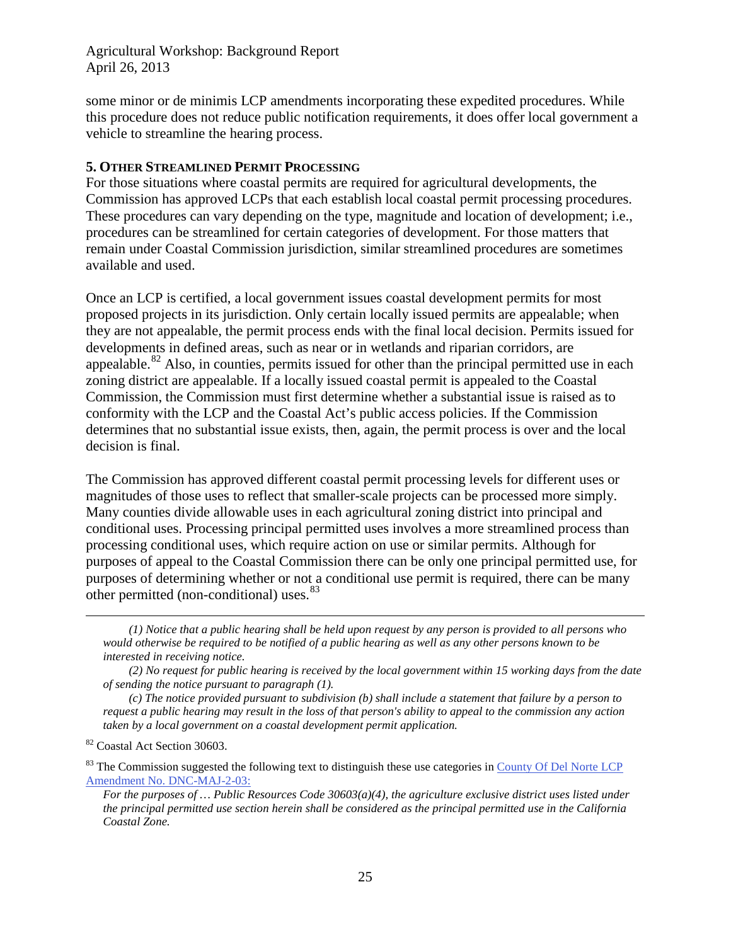some minor or de minimis LCP amendments incorporating these expedited procedures. While this procedure does not reduce public notification requirements, it does offer local government a vehicle to streamline the hearing process.

#### <span id="page-24-0"></span>**5. OTHER STREAMLINED PERMIT PROCESSING**

For those situations where coastal permits are required for agricultural developments, the Commission has approved LCPs that each establish local coastal permit processing procedures. These procedures can vary depending on the type, magnitude and location of development; i.e., procedures can be streamlined for certain categories of development. For those matters that remain under Coastal Commission jurisdiction, similar streamlined procedures are sometimes available and used.

Once an LCP is certified, a local government issues coastal development permits for most proposed projects in its jurisdiction. Only certain locally issued permits are appealable; when they are not appealable, the permit process ends with the final local decision. Permits issued for developments in defined areas, such as near or in wetlands and riparian corridors, are appealable. $82$  Also, in counties, permits issued for other than the principal permitted use in each zoning district are appealable. If a locally issued coastal permit is appealed to the Coastal Commission, the Commission must first determine whether a substantial issue is raised as to conformity with the LCP and the Coastal Act's public access policies. If the Commission determines that no substantial issue exists, then, again, the permit process is over and the local decision is final.

The Commission has approved different coastal permit processing levels for different uses or magnitudes of those uses to reflect that smaller-scale projects can be processed more simply. Many counties divide allowable uses in each agricultural zoning district into principal and conditional uses. Processing principal permitted uses involves a more streamlined process than processing conditional uses, which require action on use or similar permits. Although for purposes of appeal to the Coastal Commission there can be only one principal permitted use, for purposes of determining whether or not a conditional use permit is required, there can be many other permitted (non-conditional) uses.<sup>[83](#page-24-2)</sup>

*(1) Notice that a public hearing shall be held upon request by any person is provided to all persons who would otherwise be required to be notified of a public hearing as well as any other persons known to be interested in receiving notice.*

*(2) No request for public hearing is received by the local government within 15 working days from the date of sending the notice pursuant to paragraph (1).*

*(c) The notice provided pursuant to subdivision (b) shall include a statement that failure by a person to request a public hearing may result in the loss of that person's ability to appeal to the commission any action taken by a local government on a coastal development permit application.*

<span id="page-24-1"></span><sup>82</sup> Coastal Act Section 30603.

 $\overline{a}$ 

<span id="page-24-2"></span> $83$  The Commission suggested the following text to distinguish these use categories in County Of Del Norte LCP [Amendment No. DNC-MAJ-2-03:](http://documents.coastal.ca.gov/reports/2009/10/W17b-10-2009.pdf)

*For the purposes of … Public Resources Code 30603(a)(4), the agriculture exclusive district uses listed under the principal permitted use section herein shall be considered as the principal permitted use in the California Coastal Zone.*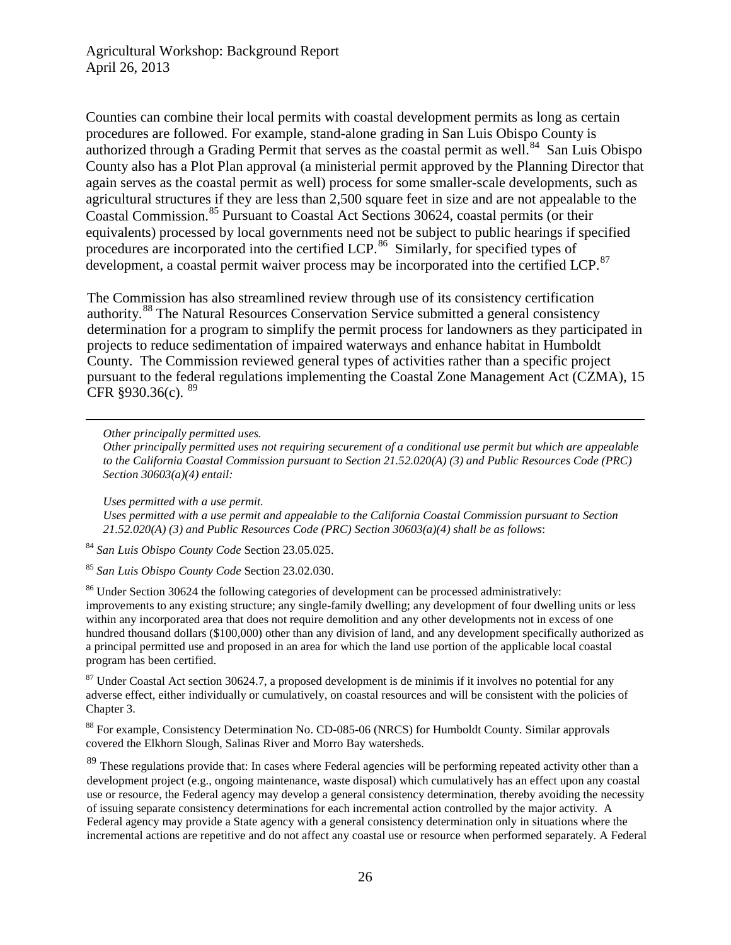Counties can combine their local permits with coastal development permits as long as certain procedures are followed. For example, stand-alone grading in San Luis Obispo County is authorized through a Grading Permit that serves as the coastal permit as well.<sup>[84](#page-25-0)</sup> San Luis Obispo County also has a Plot Plan approval (a ministerial permit approved by the Planning Director that again serves as the coastal permit as well) process for some smaller-scale developments, such as agricultural structures if they are less than 2,500 square feet in size and are not appealable to the Coastal Commission.<sup>[85](#page-25-1)</sup> Pursuant to Coastal Act Sections 30624, coastal permits (or their equivalents) processed by local governments need not be subject to public hearings if specified procedures are incorporated into the certified LCP.<sup>86</sup> Similarly, for specified types of development, a coastal permit waiver process may be incorporated into the certified LCP.<sup>[87](#page-25-3)</sup>

The Commission has also streamlined review through use of its consistency certification authority.[88](#page-25-4) The Natural Resources Conservation Service submitted a general consistency determination for a program to simplify the permit process for landowners as they participated in projects to reduce sedimentation of impaired waterways and enhance habitat in Humboldt County. The Commission reviewed general types of activities rather than a specific project pursuant to the federal regulations implementing the Coastal Zone Management Act (CZMA), 15 CFR  $§930.36(c)$ .  $89$ 

*Other principally permitted uses.*

 $\overline{a}$ 

*Other principally permitted uses not requiring securement of a conditional use permit but which are appealable to the California Coastal Commission pursuant to Section 21.52.020(A) (3) and Public Resources Code (PRC) Section 30603(a)(4) entail:*

*Uses permitted with a use permit.*

*Uses permitted with a use permit and appealable to the California Coastal Commission pursuant to Section 21.52.020(A) (3) and Public Resources Code (PRC) Section 30603(a)(4) shall be as follows*:

<span id="page-25-0"></span><sup>84</sup> *San Luis Obispo County Code* Section 23.05.025.

<span id="page-25-1"></span><sup>85</sup> *San Luis Obispo County Code* Section 23.02.030.

<span id="page-25-2"></span><sup>86</sup> Under Section 30624 the following categories of development can be processed administratively: improvements to any existing structure; any single-family dwelling; any development of four dwelling units or less within any incorporated area that does not require demolition and any other developments not in excess of one hundred thousand dollars (\$100,000) other than any division of land, and any development specifically authorized as a principal permitted use and proposed in an area for which the land use portion of the applicable local coastal program has been certified.

<span id="page-25-3"></span><sup>87</sup> Under Coastal Act section 30624.7, a proposed development is de minimis if it involves no potential for any adverse effect, either individually or cumulatively, on coastal resources and will be consistent with the policies of Chapter 3.

<span id="page-25-4"></span><sup>88</sup> For example, Consistency Determination No. CD-085-06 (NRCS) for Humboldt County. Similar approvals covered the Elkhorn Slough, Salinas River and Morro Bay watersheds.

<span id="page-25-5"></span><sup>89</sup> These regulations provide that: In cases where Federal agencies will be performing repeated activity other than a development project (e.g., ongoing maintenance, waste disposal) which cumulatively has an effect upon any coastal use or resource, the Federal agency may develop a general consistency determination, thereby avoiding the necessity of issuing separate consistency determinations for each incremental action controlled by the major activity. A Federal agency may provide a State agency with a general consistency determination only in situations where the incremental actions are repetitive and do not affect any coastal use or resource when performed separately. A Federal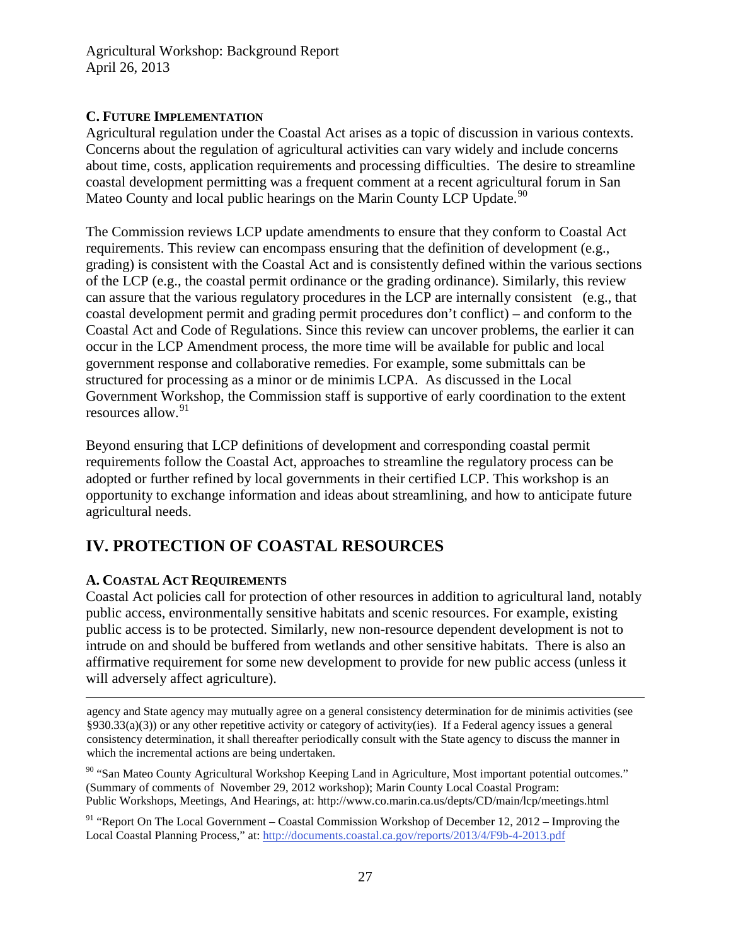### <span id="page-26-0"></span>**C. FUTURE IMPLEMENTATION**

Agricultural regulation under the Coastal Act arises as a topic of discussion in various contexts. Concerns about the regulation of agricultural activities can vary widely and include concerns about time, costs, application requirements and processing difficulties. The desire to streamline coastal development permitting was a frequent comment at a recent agricultural forum in San Mateo County and local public hearings on the Marin County LCP Update.<sup>[90](#page-26-3)</sup>

The Commission reviews LCP update amendments to ensure that they conform to Coastal Act requirements. This review can encompass ensuring that the definition of development (e.g., grading) is consistent with the Coastal Act and is consistently defined within the various sections of the LCP (e.g., the coastal permit ordinance or the grading ordinance). Similarly, this review can assure that the various regulatory procedures in the LCP are internally consistent (e.g., that coastal development permit and grading permit procedures don't conflict) – and conform to the Coastal Act and Code of Regulations. Since this review can uncover problems, the earlier it can occur in the LCP Amendment process, the more time will be available for public and local government response and collaborative remedies. For example, some submittals can be structured for processing as a minor or de minimis LCPA. As discussed in the Local Government Workshop, the Commission staff is supportive of early coordination to the extent resources allow.<sup>[91](#page-26-4)</sup>

Beyond ensuring that LCP definitions of development and corresponding coastal permit requirements follow the Coastal Act, approaches to streamline the regulatory process can be adopted or further refined by local governments in their certified LCP. This workshop is an opportunity to exchange information and ideas about streamlining, and how to anticipate future agricultural needs.

## <span id="page-26-1"></span>**IV. PROTECTION OF COASTAL RESOURCES**

## <span id="page-26-2"></span>**A. COASTAL ACT REQUIREMENTS**

Coastal Act policies call for protection of other resources in addition to agricultural land, notably public access, environmentally sensitive habitats and scenic resources. For example, existing public access is to be protected. Similarly, new non-resource dependent development is not to intrude on and should be buffered from wetlands and other sensitive habitats. There is also an affirmative requirement for some new development to provide for new public access (unless it will adversely affect agriculture).

 agency and State agency may mutually agree on a general consistency determination for de minimis activities (see §930.33(a)(3)) or any other repetitive activity or category of activity(ies). If a Federal agency issues a general consistency determination, it shall thereafter periodically consult with the State agency to discuss the manner in which the incremental actions are being undertaken.

<span id="page-26-3"></span><sup>90</sup> "San Mateo County Agricultural Workshop Keeping Land in Agriculture, Most important potential outcomes." (Summary of comments of November 29, 2012 workshop); Marin County Local Coastal Program: Public Workshops, Meetings, And Hearings, at: http://www.co.marin.ca.us/depts/CD/main/lcp/meetings.html

<span id="page-26-4"></span> $91$  "Report On The Local Government – Coastal Commission Workshop of December 12, 2012 – Improving the Local Coastal Planning Process," at:<http://documents.coastal.ca.gov/reports/2013/4/F9b-4-2013.pdf>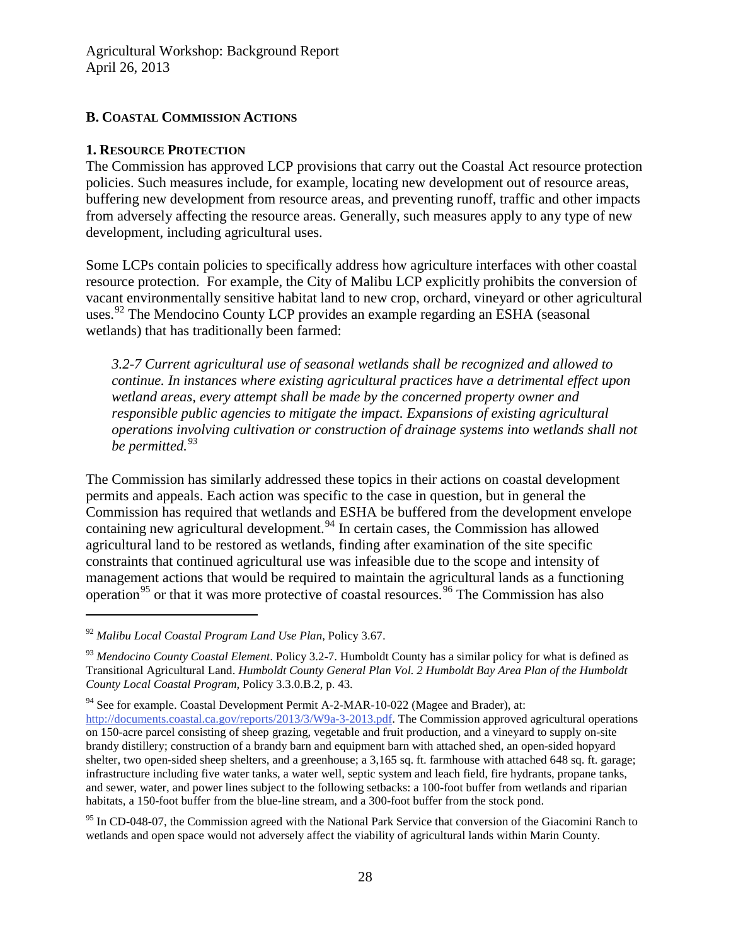#### <span id="page-27-0"></span>**B. COASTAL COMMISSION ACTIONS**

#### <span id="page-27-1"></span>**1. RESOURCE PROTECTION**

The Commission has approved LCP provisions that carry out the Coastal Act resource protection policies. Such measures include, for example, locating new development out of resource areas, buffering new development from resource areas, and preventing runoff, traffic and other impacts from adversely affecting the resource areas. Generally, such measures apply to any type of new development, including agricultural uses.

Some LCPs contain policies to specifically address how agriculture interfaces with other coastal resource protection. For example, the City of Malibu LCP explicitly prohibits the conversion of vacant environmentally sensitive habitat land to new crop, orchard, vineyard or other agricultural uses.<sup>[92](#page-27-2)</sup> The Mendocino County LCP provides an example regarding an ESHA (seasonal wetlands) that has traditionally been farmed:

*3.2-7 Current agricultural use of seasonal wetlands shall be recognized and allowed to continue. In instances where existing agricultural practices have a detrimental effect upon wetland areas, every attempt shall be made by the concerned property owner and responsible public agencies to mitigate the impact. Expansions of existing agricultural operations involving cultivation or construction of drainage systems into wetlands shall not be permitted.[93](#page-27-3)*

<span id="page-27-6"></span>The Commission has similarly addressed these topics in their actions on coastal development permits and appeals. Each action was specific to the case in question, but in general the Commission has required that wetlands and ESHA be buffered from the development envelope containing new agricultural development.<sup>[94](#page-27-4)</sup> In certain cases, the Commission has allowed agricultural land to be restored as wetlands, finding after examination of the site specific constraints that continued agricultural use was infeasible due to the scope and intensity of management actions that would be required to maintain the agricultural lands as a functioning operation<sup>[95](#page-27-5)</sup> or that it was more protective of coastal resources.<sup>[96](#page-27-6)</sup> The Commission has also

<span id="page-27-2"></span><sup>92</sup> *Malibu Local Coastal Program Land Use Plan*, Policy 3.67.

<span id="page-27-3"></span><sup>93</sup> *Mendocino County Coastal Element*. Policy 3.2-7. Humboldt County has a similar policy for what is defined as Transitional Agricultural Land. *Humboldt County General Plan Vol. 2 Humboldt Bay Area Plan of the Humboldt County Local Coastal Program*, Policy 3.3.0.B.2, p. 43.

<span id="page-27-4"></span><sup>&</sup>lt;sup>94</sup> See for example. Coastal Development Permit A-2-MAR-10-022 (Magee and Brader), at:

[http://documents.coastal.ca.gov/reports/2013/3/W9a-3-2013.pdf.](http://documents.coastal.ca.gov/reports/2013/3/W9a-3-2013.pdf) The Commission approved agricultural operations on 150-acre parcel consisting of sheep grazing, vegetable and fruit production, and a vineyard to supply on-site brandy distillery; construction of a brandy barn and equipment barn with attached shed, an open-sided hopyard shelter, two open-sided sheep shelters, and a greenhouse; a 3,165 sq. ft. farmhouse with attached 648 sq. ft. garage; infrastructure including five water tanks, a water well, septic system and leach field, fire hydrants, propane tanks, and sewer, water, and power lines subject to the following setbacks: a 100-foot buffer from wetlands and riparian habitats, a 150-foot buffer from the blue-line stream, and a 300-foot buffer from the stock pond.

<span id="page-27-5"></span><sup>&</sup>lt;sup>95</sup> In CD-048-07, the Commission agreed with the National Park Service that conversion of the Giacomini Ranch to wetlands and open space would not adversely affect the viability of agricultural lands within Marin County.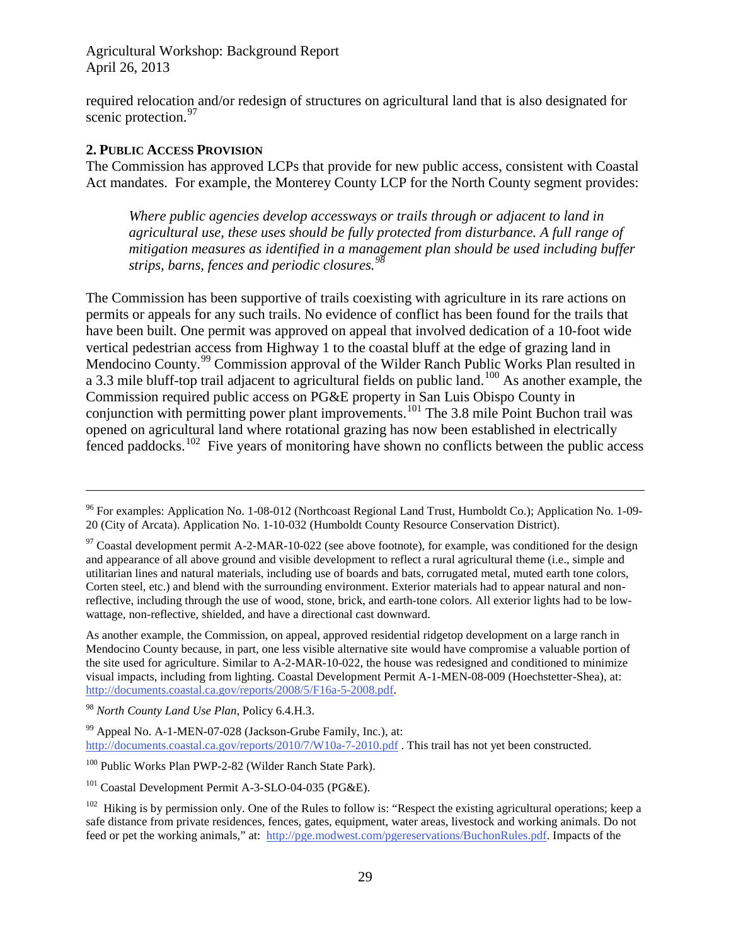required relocation and/or redesign of structures on agricultural land that is also designated for scenic protection.<sup>[97](#page-28-1)</sup>

#### <span id="page-28-0"></span>**2. PUBLIC ACCESS PROVISION**

 $\overline{a}$ 

The Commission has approved LCPs that provide for new public access, consistent with Coastal Act mandates. For example, the Monterey County LCP for the North County segment provides:

*Where public agencies develop accessways or trails through or adjacent to land in agricultural use, these uses should be fully protected from disturbance. A full range of mitigation measures as identified in a management plan should be used including buffer strips, barns, fences and periodic closures.[98](#page-28-2)*

The Commission has been supportive of trails coexisting with agriculture in its rare actions on permits or appeals for any such trails. No evidence of conflict has been found for the trails that have been built. One permit was approved on appeal that involved dedication of a 10-foot wide vertical pedestrian access from Highway 1 to the coastal bluff at the edge of grazing land in Mendocino County.<sup>[99](#page-28-3)</sup> Commission approval of the Wilder Ranch Public Works Plan resulted in a 3.3 mile bluff-top trail adjacent to agricultural fields on public land.<sup>[100](#page-28-4)</sup> As another example, the Commission required public access on PG&E property in San Luis Obispo County in conjunction with permitting power plant improvements.<sup>[101](#page-28-5)</sup> The 3.8 mile Point Buchon trail was opened on agricultural land where rotational grazing has now been established in electrically fenced paddocks.<sup>[102](#page-28-6)</sup> Five years of monitoring have shown no conflicts between the public access

<sup>&</sup>lt;sup>96</sup> For examples: Application No. 1-08-012 (Northcoast Regional Land Trust, Humboldt Co.); Application No. 1-09-20 (City of Arcata). Application No. 1-10-032 (Humboldt County Resource Conservation District).

<span id="page-28-1"></span> $97$  Coastal development permit A-2-MAR-10-022 (see above footnote), for example, was conditioned for the design and appearance of all above ground and visible development to reflect a rural agricultural theme (i.e., simple and utilitarian lines and natural materials, including use of boards and bats, corrugated metal, muted earth tone colors, Corten steel, etc.) and blend with the surrounding environment. Exterior materials had to appear natural and nonreflective, including through the use of wood, stone, brick, and earth-tone colors. All exterior lights had to be lowwattage, non-reflective, shielded, and have a directional cast downward.

As another example, the Commission, on appeal, approved residential ridgetop development on a large ranch in Mendocino County because, in part, one less visible alternative site would have compromise a valuable portion of the site used for agriculture. Similar to A-2-MAR-10-022, the house was redesigned and conditioned to minimize visual impacts, including from lighting. Coastal Development Permit A-1-MEN-08-009 (Hoechstetter-Shea), at: [http://documents.coastal.ca.gov/reports/2008/5/F16a-5-2008.pdf.](http://documents.coastal.ca.gov/reports/2008/5/F16a-5-2008.pdf)

<span id="page-28-2"></span><sup>98</sup> *North County Land Use Plan*, Policy 6.4.H.3.

<span id="page-28-3"></span><sup>99</sup> Appeal No. A-1-MEN-07-028 (Jackson-Grube Family, Inc.), at: <http://documents.coastal.ca.gov/reports/2010/7/W10a-7-2010.pdf> . This trail has not yet been constructed.

<span id="page-28-4"></span><sup>100</sup> Public Works Plan PWP-2-82 (Wilder Ranch State Park).

<span id="page-28-5"></span><sup>&</sup>lt;sup>101</sup> Coastal Development Permit A-3-SLO-04-035 (PG&E).

<span id="page-28-6"></span> $102$  Hiking is by permission only. One of the Rules to follow is: "Respect the existing agricultural operations; keep a safe distance from private residences, fences, gates, equipment, water areas, livestock and working animals. Do not feed or pet the working animals," at: [http://pge.modwest.com/pgereservations/BuchonRules.pdf.](http://pge.modwest.com/pgereservations/BuchonRules.pdf) Impacts of the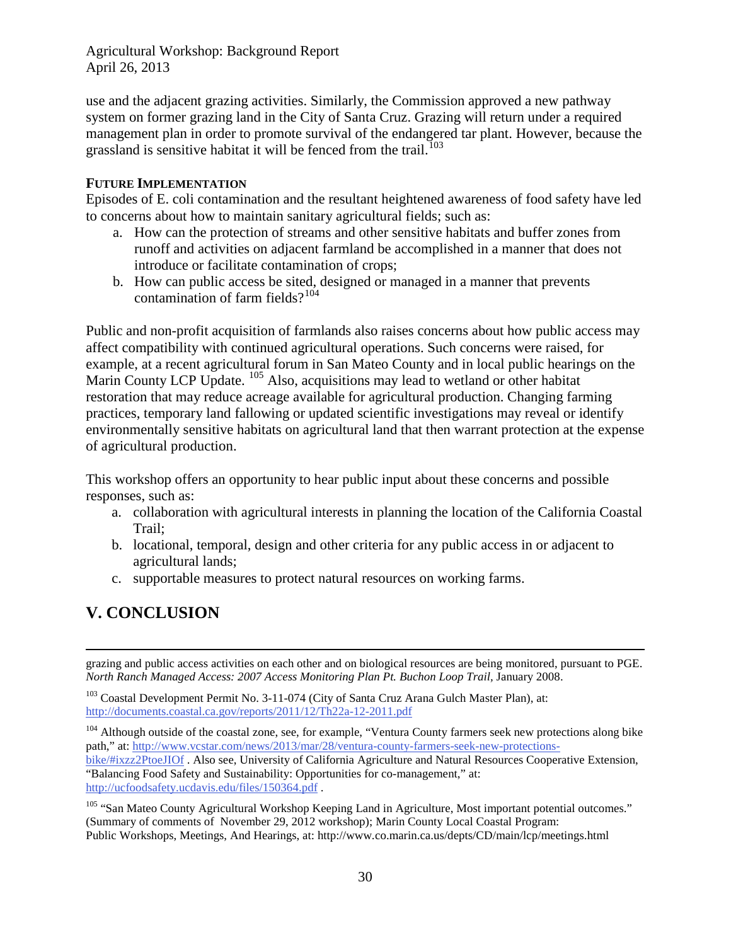use and the adjacent grazing activities. Similarly, the Commission approved a new pathway system on former grazing land in the City of Santa Cruz. Grazing will return under a required management plan in order to promote survival of the endangered tar plant. However, because the grassland is sensitive habitat it will be fenced from the trail.<sup>[103](#page-29-2)</sup>

#### <span id="page-29-0"></span>**FUTURE IMPLEMENTATION**

Episodes of E. coli contamination and the resultant heightened awareness of food safety have led to concerns about how to maintain sanitary agricultural fields; such as:

- a. How can the protection of streams and other sensitive habitats and buffer zones from runoff and activities on adjacent farmland be accomplished in a manner that does not introduce or facilitate contamination of crops;
- b. How can public access be sited, designed or managed in a manner that prevents contamination of farm fields? $104$

Public and non-profit acquisition of farmlands also raises concerns about how public access may affect compatibility with continued agricultural operations. Such concerns were raised, for example, at a recent agricultural forum in San Mateo County and in local public hearings on the Marin County LCP Update. <sup>[105](#page-29-4)</sup> Also, acquisitions may lead to wetland or other habitat restoration that may reduce acreage available for agricultural production. Changing farming practices, temporary land fallowing or updated scientific investigations may reveal or identify environmentally sensitive habitats on agricultural land that then warrant protection at the expense of agricultural production.

This workshop offers an opportunity to hear public input about these concerns and possible responses, such as:

- a. collaboration with agricultural interests in planning the location of the California Coastal Trail;
- b. locational, temporal, design and other criteria for any public access in or adjacent to agricultural lands;
- c. supportable measures to protect natural resources on working farms.

## <span id="page-29-1"></span>**V. CONCLUSION**

 $\overline{a}$ 

grazing and public access activities on each other and on biological resources are being monitored, pursuant to PGE. *North Ranch Managed Access: 2007 Access Monitoring Plan Pt. Buchon Loop Trail,* January 2008.

<span id="page-29-2"></span><sup>103</sup> Coastal Development Permit No. 3-11-074 (City of Santa Cruz Arana Gulch Master Plan), at: <http://documents.coastal.ca.gov/reports/2011/12/Th22a-12-2011.pdf>

<span id="page-29-3"></span><sup>104</sup> Although outside of the coastal zone, see, for example, "Ventura County farmers seek new protections along bike path," at: [http://www.vcstar.com/news/2013/mar/28/ventura-county-farmers-seek-new-protections](http://www.vcstar.com/news/2013/mar/28/ventura-county-farmers-seek-new-protections-bike/#ixzz2PtoeJIOf)[bike/#ixzz2PtoeJIOf](http://www.vcstar.com/news/2013/mar/28/ventura-county-farmers-seek-new-protections-bike/#ixzz2PtoeJIOf) . Also see, University of California Agriculture and Natural Resources Cooperative Extension, "Balancing Food Safety and Sustainability: Opportunities for co-management," at: <http://ucfoodsafety.ucdavis.edu/files/150364.pdf> .

<span id="page-29-4"></span><sup>&</sup>lt;sup>105</sup> "San Mateo County Agricultural Workshop Keeping Land in Agriculture, Most important potential outcomes." (Summary of comments of November 29, 2012 workshop); Marin County Local Coastal Program: Public Workshops, Meetings, And Hearings, at: http://www.co.marin.ca.us/depts/CD/main/lcp/meetings.html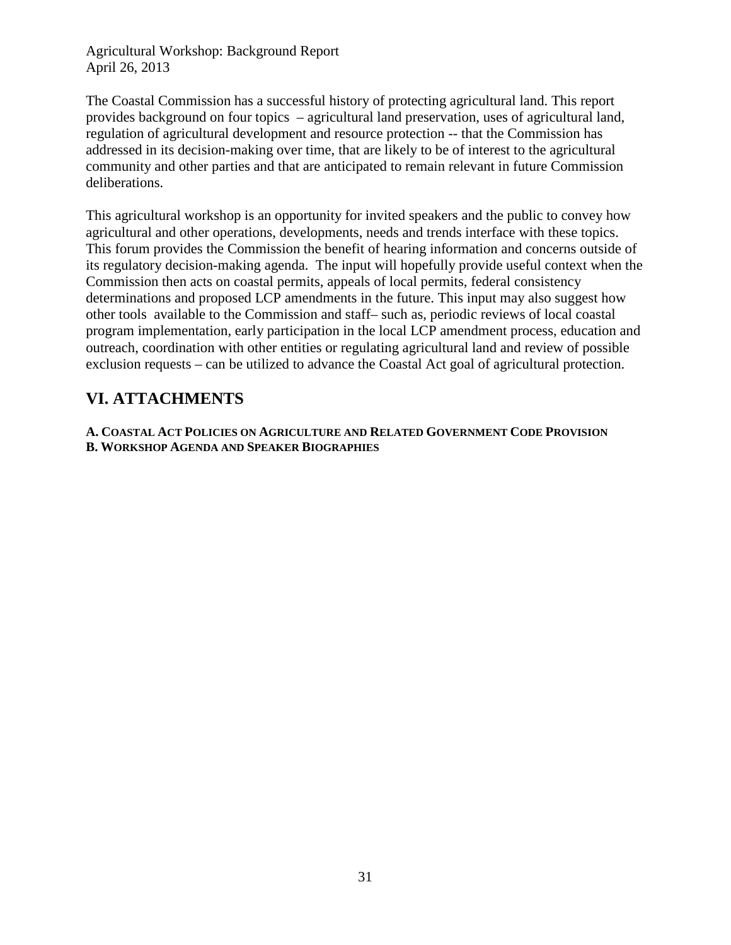The Coastal Commission has a successful history of protecting agricultural land. This report provides background on four topics – agricultural land preservation, uses of agricultural land, regulation of agricultural development and resource protection -- that the Commission has addressed in its decision-making over time, that are likely to be of interest to the agricultural community and other parties and that are anticipated to remain relevant in future Commission deliberations.

This agricultural workshop is an opportunity for invited speakers and the public to convey how agricultural and other operations, developments, needs and trends interface with these topics. This forum provides the Commission the benefit of hearing information and concerns outside of its regulatory decision-making agenda. The input will hopefully provide useful context when the Commission then acts on coastal permits, appeals of local permits, federal consistency determinations and proposed LCP amendments in the future. This input may also suggest how other tools available to the Commission and staff– such as, periodic reviews of local coastal program implementation, early participation in the local LCP amendment process, education and outreach, coordination with other entities or regulating agricultural land and review of possible exclusion requests – can be utilized to advance the Coastal Act goal of agricultural protection.

## <span id="page-30-0"></span>**VI. ATTACHMENTS**

**A. COASTAL ACT POLICIES ON AGRICULTURE AND RELATED GOVERNMENT CODE PROVISION B. WORKSHOP AGENDA AND SPEAKER BIOGRAPHIES**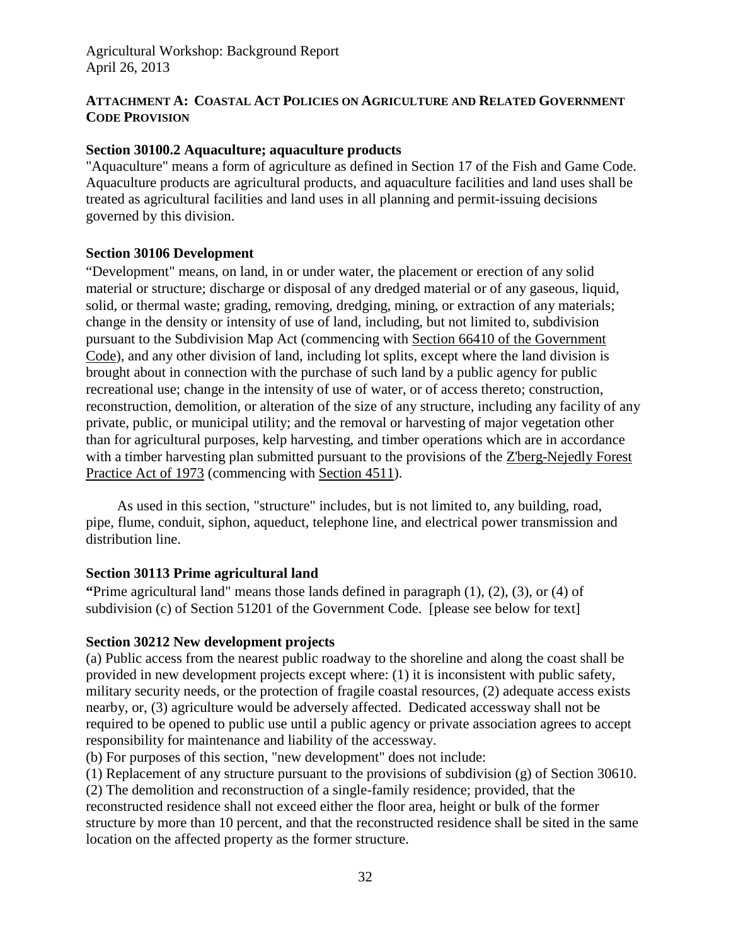### <span id="page-31-0"></span>**ATTACHMENT A: COASTAL ACT POLICIES ON AGRICULTURE AND RELATED GOVERNMENT CODE PROVISION**

### **Section 30100.2 Aquaculture; aquaculture products**

"Aquaculture" means a form of agriculture as defined in Section 17 of the Fish and Game Code. Aquaculture products are agricultural products, and aquaculture facilities and land uses shall be treated as agricultural facilities and land uses in all planning and permit-issuing decisions governed by this division.

### **Section 30106 Development**

"Development" means, on land, in or under water, the placement or erection of any solid material or structure; discharge or disposal of any dredged material or of any gaseous, liquid, solid, or thermal waste; grading, removing, dredging, mining, or extraction of any materials; change in the density or intensity of use of land, including, but not limited to, subdivision pursuant to the Subdivision Map Act (commencing with [Section 66410 of](http://www.leginfo.ca.gov/calaw.html) the Government [Code\)](http://www.leginfo.ca.gov/calaw.html), and any other division of land, including lot splits, except where the land division is brought about in connection with the purchase of such land by a public agency for public recreational use; change in the intensity of use of water, or of access thereto; construction, reconstruction, demolition, or alteration of the size of any structure, including any facility of any private, public, or municipal utility; and the removal or harvesting of major vegetation other than for agricultural purposes, kelp harvesting, and timber operations which are in accordance with a timber harvesting plan submitted pursuant to the provisions of the [Z'berg-Nejedly](http://www.leginfo.ca.gov/calaw.html) Forest [Practice Act](http://www.leginfo.ca.gov/calaw.html) of 1973 (commencing with [Section 4511\)](http://www.leginfo.ca.gov/calaw.html).

As used in this section, "structure" includes, but is not limited to, any building, road, pipe, flume, conduit, siphon, aqueduct, telephone line, and electrical power transmission and distribution line.

## **Section 30113 Prime agricultural land**

**"**Prime agricultural land" means those lands defined in paragraph (1), (2), (3), or (4) of subdivision (c) of Section 51201 of the Government Code. [please see below for text]

## **Section 30212 New development projects**

(a) Public access from the nearest public roadway to the shoreline and along the coast shall be provided in new development projects except where: (1) it is inconsistent with public safety, military security needs, or the protection of fragile coastal resources, (2) adequate access exists nearby, or, (3) agriculture would be adversely affected. Dedicated accessway shall not be required to be opened to public use until a public agency or private association agrees to accept responsibility for maintenance and liability of the accessway.

(b) For purposes of this section, "new development" does not include:

location on the affected property as the former structure.

(1) Replacement of any structure pursuant to the provisions of subdivision (g) of Section 30610. (2) The demolition and reconstruction of a single-family residence; provided, that the reconstructed residence shall not exceed either the floor area, height or bulk of the former structure by more than 10 percent, and that the reconstructed residence shall be sited in the same

32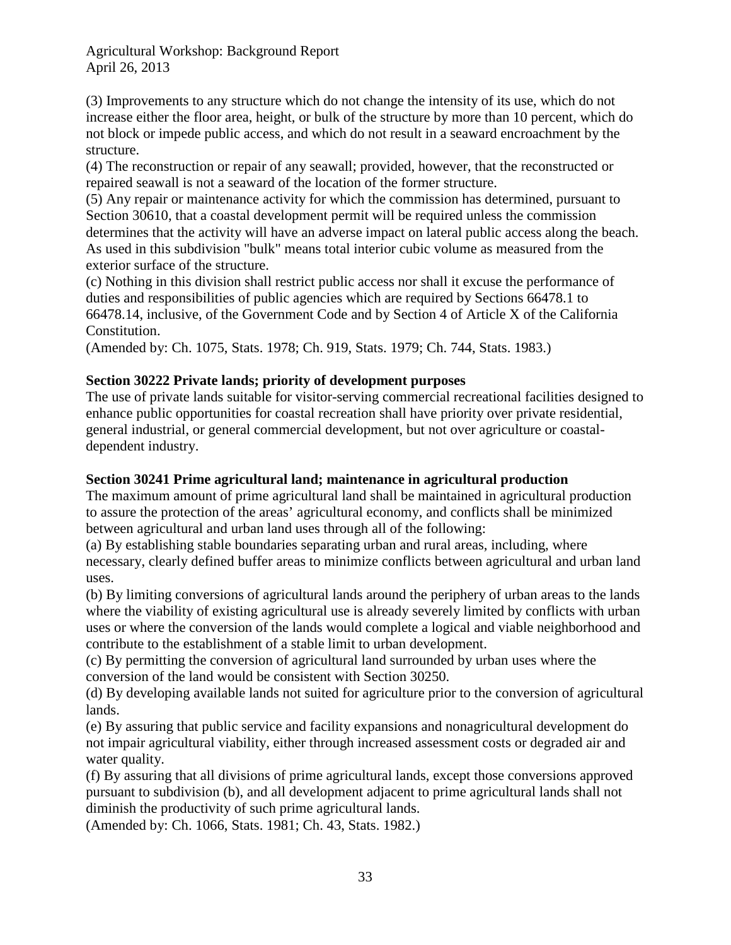(3) Improvements to any structure which do not change the intensity of its use, which do not increase either the floor area, height, or bulk of the structure by more than 10 percent, which do not block or impede public access, and which do not result in a seaward encroachment by the structure.

(4) The reconstruction or repair of any seawall; provided, however, that the reconstructed or repaired seawall is not a seaward of the location of the former structure.

(5) Any repair or maintenance activity for which the commission has determined, pursuant to Section 30610, that a coastal development permit will be required unless the commission determines that the activity will have an adverse impact on lateral public access along the beach. As used in this subdivision "bulk" means total interior cubic volume as measured from the exterior surface of the structure.

(c) Nothing in this division shall restrict public access nor shall it excuse the performance of duties and responsibilities of public agencies which are required by Sections 66478.1 to 66478.14, inclusive, of the Government Code and by Section 4 of Article X of the California Constitution.

(Amended by: Ch. 1075, Stats. 1978; Ch. 919, Stats. 1979; Ch. 744, Stats. 1983.)

## **Section 30222 Private lands; priority of development purposes**

The use of private lands suitable for visitor-serving commercial recreational facilities designed to enhance public opportunities for coastal recreation shall have priority over private residential, general industrial, or general commercial development, but not over agriculture or coastaldependent industry.

## **Section 30241 Prime agricultural land; maintenance in agricultural production**

The maximum amount of prime agricultural land shall be maintained in agricultural production to assure the protection of the areas' agricultural economy, and conflicts shall be minimized between agricultural and urban land uses through all of the following:

(a) By establishing stable boundaries separating urban and rural areas, including, where necessary, clearly defined buffer areas to minimize conflicts between agricultural and urban land uses.

(b) By limiting conversions of agricultural lands around the periphery of urban areas to the lands where the viability of existing agricultural use is already severely limited by conflicts with urban uses or where the conversion of the lands would complete a logical and viable neighborhood and contribute to the establishment of a stable limit to urban development.

(c) By permitting the conversion of agricultural land surrounded by urban uses where the conversion of the land would be consistent with Section 30250.

(d) By developing available lands not suited for agriculture prior to the conversion of agricultural lands.

(e) By assuring that public service and facility expansions and nonagricultural development do not impair agricultural viability, either through increased assessment costs or degraded air and water quality.

(f) By assuring that all divisions of prime agricultural lands, except those conversions approved pursuant to subdivision (b), and all development adjacent to prime agricultural lands shall not diminish the productivity of such prime agricultural lands.

(Amended by: Ch. 1066, Stats. 1981; Ch. 43, Stats. 1982.)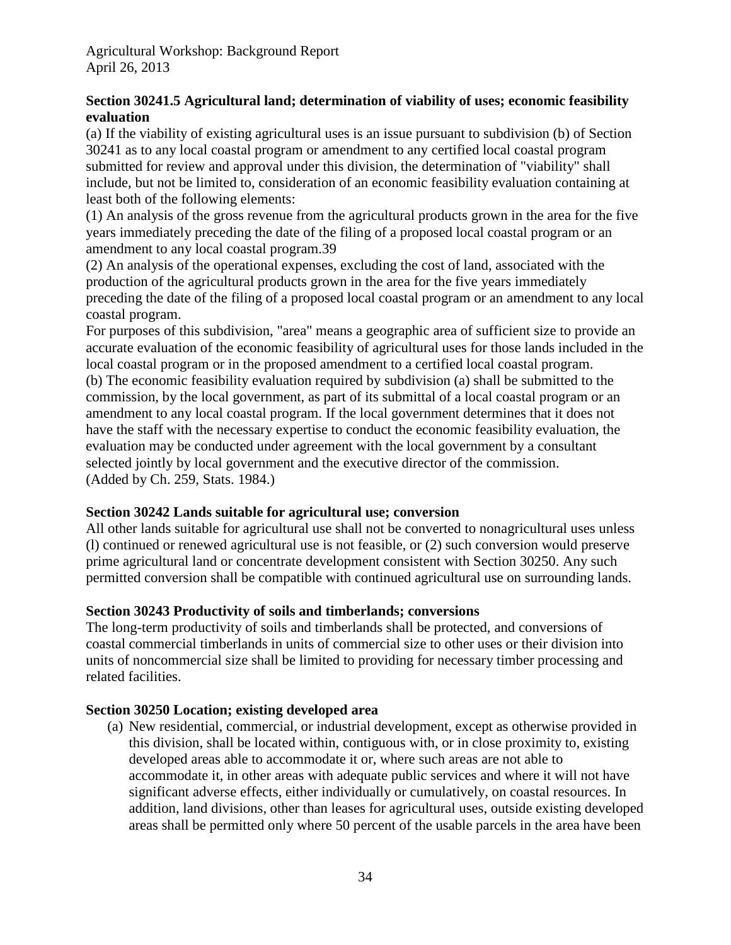## **Section 30241.5 Agricultural land; determination of viability of uses; economic feasibility evaluation**

(a) If the viability of existing agricultural uses is an issue pursuant to subdivision (b) of Section 30241 as to any local coastal program or amendment to any certified local coastal program submitted for review and approval under this division, the determination of "viability" shall include, but not be limited to, consideration of an economic feasibility evaluation containing at least both of the following elements:

(1) An analysis of the gross revenue from the agricultural products grown in the area for the five years immediately preceding the date of the filing of a proposed local coastal program or an amendment to any local coastal program.39

(2) An analysis of the operational expenses, excluding the cost of land, associated with the production of the agricultural products grown in the area for the five years immediately preceding the date of the filing of a proposed local coastal program or an amendment to any local coastal program.

For purposes of this subdivision, "area" means a geographic area of sufficient size to provide an accurate evaluation of the economic feasibility of agricultural uses for those lands included in the local coastal program or in the proposed amendment to a certified local coastal program.

(b) The economic feasibility evaluation required by subdivision (a) shall be submitted to the commission, by the local government, as part of its submittal of a local coastal program or an amendment to any local coastal program. If the local government determines that it does not have the staff with the necessary expertise to conduct the economic feasibility evaluation, the evaluation may be conducted under agreement with the local government by a consultant selected jointly by local government and the executive director of the commission. (Added by Ch. 259, Stats. 1984.)

## **Section 30242 Lands suitable for agricultural use; conversion**

All other lands suitable for agricultural use shall not be converted to nonagricultural uses unless (l) continued or renewed agricultural use is not feasible, or (2) such conversion would preserve prime agricultural land or concentrate development consistent with Section 30250. Any such permitted conversion shall be compatible with continued agricultural use on surrounding lands.

## **Section 30243 Productivity of soils and timberlands; conversions**

The long-term productivity of soils and timberlands shall be protected, and conversions of coastal commercial timberlands in units of commercial size to other uses or their division into units of noncommercial size shall be limited to providing for necessary timber processing and related facilities.

## **Section 30250 Location; existing developed area**

(a) New residential, commercial, or industrial development, except as otherwise provided in this division, shall be located within, contiguous with, or in close proximity to, existing developed areas able to accommodate it or, where such areas are not able to accommodate it, in other areas with adequate public services and where it will not have significant adverse effects, either individually or cumulatively, on coastal resources. In addition, land divisions, other than leases for agricultural uses, outside existing developed areas shall be permitted only where 50 percent of the usable parcels in the area have been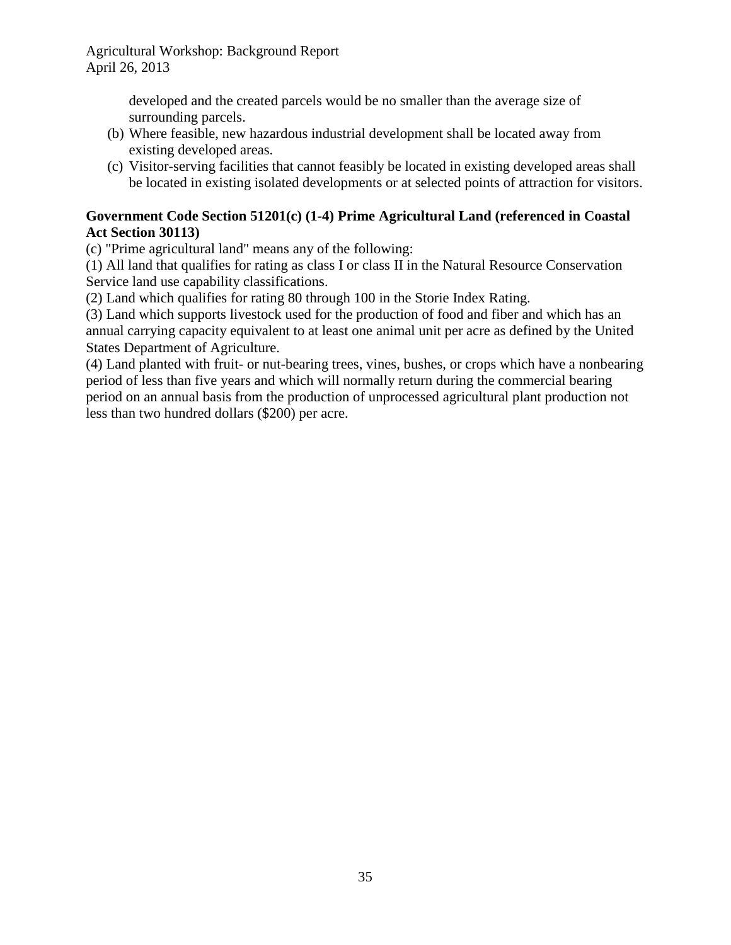> developed and the created parcels would be no smaller than the average size of surrounding parcels.

- (b) Where feasible, new hazardous industrial development shall be located away from existing developed areas.
- (c) Visitor-serving facilities that cannot feasibly be located in existing developed areas shall be located in existing isolated developments or at selected points of attraction for visitors.

### **Government Code Section 51201(c) (1-4) Prime Agricultural Land (referenced in Coastal Act Section 30113)**

(c) "Prime agricultural land" means any of the following:

(1) All land that qualifies for rating as class I or class II in the Natural Resource Conservation Service land use capability classifications.

(2) Land which qualifies for rating 80 through 100 in the Storie Index Rating.

(3) Land which supports livestock used for the production of food and fiber and which has an annual carrying capacity equivalent to at least one animal unit per acre as defined by the United States Department of Agriculture.

(4) Land planted with fruit- or nut-bearing trees, vines, bushes, or crops which have a nonbearing period of less than five years and which will normally return during the commercial bearing period on an annual basis from the production of unprocessed agricultural plant production not less than two hundred dollars (\$200) per acre.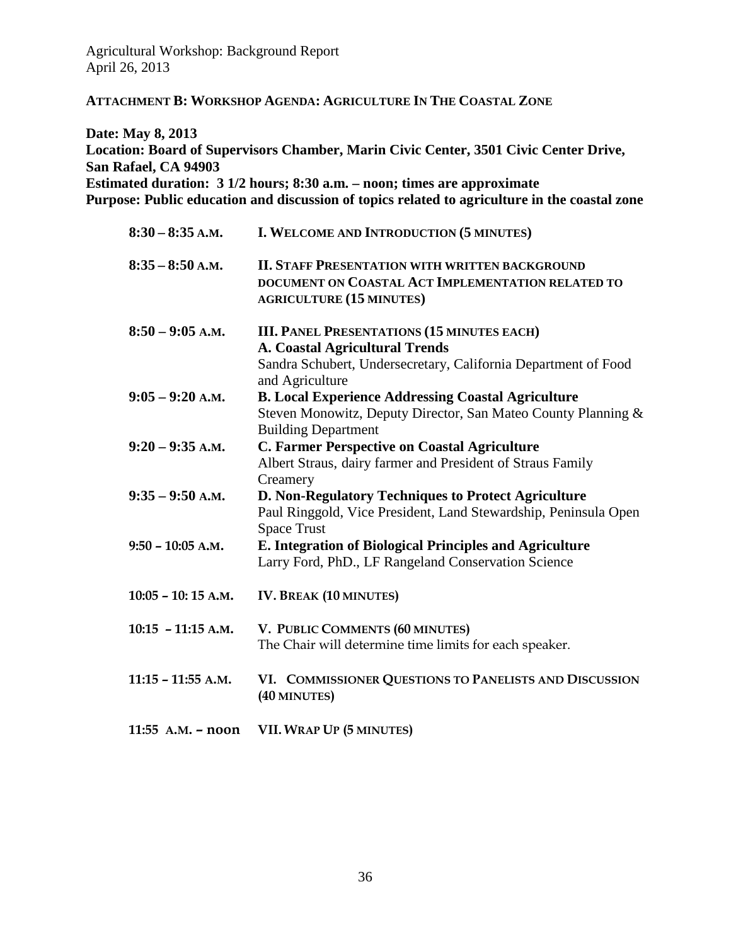<span id="page-35-0"></span>**ATTACHMENT B: WORKSHOP AGENDA: AGRICULTURE IN THE COASTAL ZONE**

**Date: May 8, 2013 Location: Board of Supervisors Chamber, Marin Civic Center, 3501 Civic Center Drive, San Rafael, CA 94903 Estimated duration: 3 1/2 hours; 8:30 a.m. – noon; times are approximate Purpose: Public education and discussion of topics related to agriculture in the coastal zone**

| $8:30-8:35$ A.M.     | I. WELCOME AND INTRODUCTION (5 MINUTES)                                                                                                                                         |
|----------------------|---------------------------------------------------------------------------------------------------------------------------------------------------------------------------------|
| $8:35 - 8:50$ A.M.   | <b>II. STAFF PRESENTATION WITH WRITTEN BACKGROUND</b><br>DOCUMENT ON COASTAL ACT IMPLEMENTATION RELATED TO<br><b>AGRICULTURE (15 MINUTES)</b>                                   |
| $8:50 - 9:05$ A.M.   | <b>III. PANEL PRESENTATIONS (15 MINUTES EACH)</b><br><b>A. Coastal Agricultural Trends</b><br>Sandra Schubert, Undersecretary, California Department of Food<br>and Agriculture |
| $9:05 - 9:20$ A.M.   | <b>B. Local Experience Addressing Coastal Agriculture</b><br>Steven Monowitz, Deputy Director, San Mateo County Planning &<br><b>Building Department</b>                        |
| $9:20 - 9:35$ A.M.   | <b>C. Farmer Perspective on Coastal Agriculture</b><br>Albert Straus, dairy farmer and President of Straus Family<br>Creamery                                                   |
| $9:35 - 9:50$ A.M.   | D. Non-Regulatory Techniques to Protect Agriculture<br>Paul Ringgold, Vice President, Land Stewardship, Peninsula Open<br><b>Space Trust</b>                                    |
| $9:50 - 10:05$ A.M.  | E. Integration of Biological Principles and Agriculture<br>Larry Ford, PhD., LF Rangeland Conservation Science                                                                  |
| $10:05 - 10:15$ A.M. | <b>IV. BREAK (10 MINUTES)</b>                                                                                                                                                   |
| $10:15 - 11:15$ A.M. | V. PUBLIC COMMENTS (60 MINUTES)<br>The Chair will determine time limits for each speaker.                                                                                       |
| $11:15 - 11:55$ A.M. | VI. COMMISSIONER QUESTIONS TO PANELISTS AND DISCUSSION<br>(40 MINUTES)                                                                                                          |
| 11:55 $A.M. - noon$  | <b>VII. WRAP UP (5 MINUTES)</b>                                                                                                                                                 |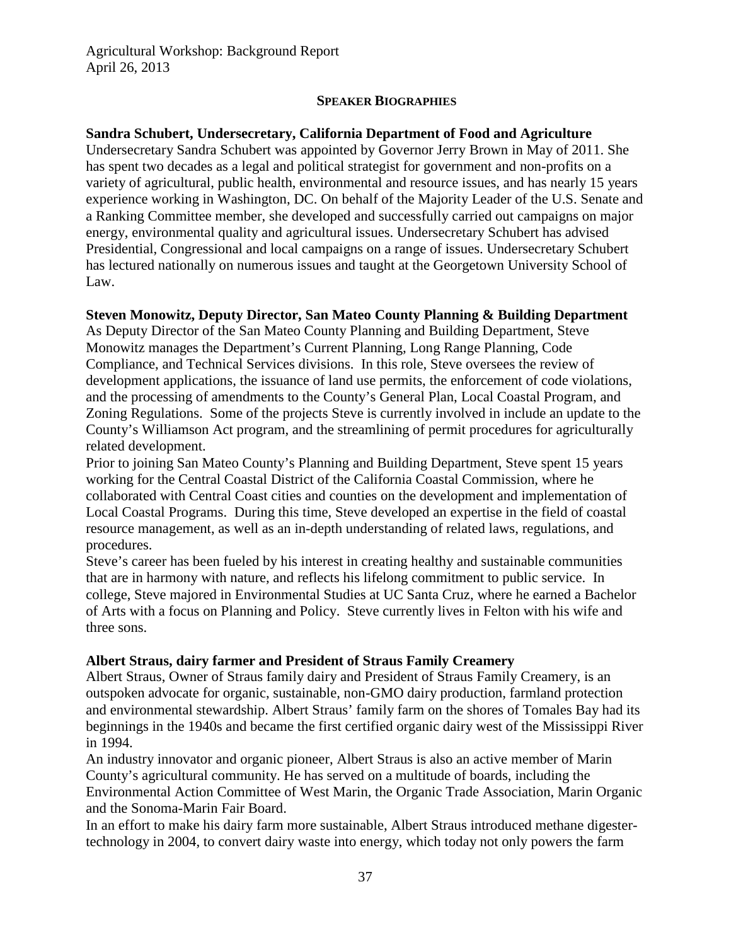#### **SPEAKER BIOGRAPHIES**

### **Sandra Schubert, Undersecretary, California Department of Food and Agriculture**

Undersecretary Sandra Schubert was appointed by Governor Jerry Brown in May of 2011. She has spent two decades as a legal and political strategist for government and non-profits on a variety of agricultural, public health, environmental and resource issues, and has nearly 15 years experience working in Washington, DC. On behalf of the Majority Leader of the U.S. Senate and a Ranking Committee member, she developed and successfully carried out campaigns on major energy, environmental quality and agricultural issues. Undersecretary Schubert has advised Presidential, Congressional and local campaigns on a range of issues. Undersecretary Schubert has lectured nationally on numerous issues and taught at the Georgetown University School of Law.

#### **Steven Monowitz, Deputy Director, San Mateo County Planning & Building Department**

As Deputy Director of the San Mateo County Planning and Building Department, Steve Monowitz manages the Department's Current Planning, Long Range Planning, Code Compliance, and Technical Services divisions. In this role, Steve oversees the review of development applications, the issuance of land use permits, the enforcement of code violations, and the processing of amendments to the County's General Plan, Local Coastal Program, and Zoning Regulations. Some of the projects Steve is currently involved in include an update to the County's Williamson Act program, and the streamlining of permit procedures for agriculturally related development.

Prior to joining San Mateo County's Planning and Building Department, Steve spent 15 years working for the Central Coastal District of the California Coastal Commission, where he collaborated with Central Coast cities and counties on the development and implementation of Local Coastal Programs. During this time, Steve developed an expertise in the field of coastal resource management, as well as an in-depth understanding of related laws, regulations, and procedures.

Steve's career has been fueled by his interest in creating healthy and sustainable communities that are in harmony with nature, and reflects his lifelong commitment to public service. In college, Steve majored in Environmental Studies at UC Santa Cruz, where he earned a Bachelor of Arts with a focus on Planning and Policy. Steve currently lives in Felton with his wife and three sons.

#### **Albert Straus, dairy farmer and President of Straus Family Creamery**

Albert Straus, Owner of Straus family dairy and President of Straus Family Creamery, is an outspoken advocate for organic, sustainable, non-GMO dairy production, farmland protection and environmental stewardship. Albert Straus' family farm on the shores of Tomales Bay had its beginnings in the 1940s and became the first certified organic dairy west of the Mississippi River in 1994.

An industry innovator and organic pioneer, Albert Straus is also an active member of Marin County's agricultural community. He has served on a multitude of boards, including the Environmental Action Committee of West Marin, the Organic Trade Association, Marin Organic and the Sonoma-Marin Fair Board.

In an effort to make his dairy farm more sustainable, Albert Straus introduced methane digestertechnology in 2004, to convert dairy waste into energy, which today not only powers the farm